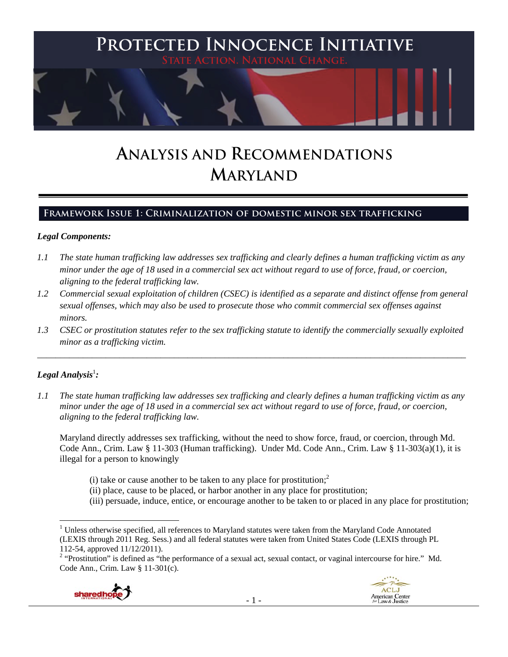

# **ANALYSIS AND RECOMMENDATIONS MARYLAND**

# **Framework Issue 1: Criminalization of domestic minor sex trafficking**

#### *Legal Components:*

- *1.1 The state human trafficking law addresses sex trafficking and clearly defines a human trafficking victim as any minor under the age of 18 used in a commercial sex act without regard to use of force, fraud, or coercion, aligning to the federal trafficking law.*
- *1.2 Commercial sexual exploitation of children (CSEC) is identified as a separate and distinct offense from general sexual offenses, which may also be used to prosecute those who commit commercial sex offenses against minors.*
- *1.3 CSEC or prostitution statutes refer to the sex trafficking statute to identify the commercially sexually exploited minor as a trafficking victim.*

\_\_\_\_\_\_\_\_\_\_\_\_\_\_\_\_\_\_\_\_\_\_\_\_\_\_\_\_\_\_\_\_\_\_\_\_\_\_\_\_\_\_\_\_\_\_\_\_\_\_\_\_\_\_\_\_\_\_\_\_\_\_\_\_\_\_\_\_\_\_\_\_\_\_\_\_\_\_\_\_\_\_\_\_\_\_\_\_\_\_\_\_\_\_

# $Legal$  Analysis<sup>1</sup>:

*1.1 The state human trafficking law addresses sex trafficking and clearly defines a human trafficking victim as any minor under the age of 18 used in a commercial sex act without regard to use of force, fraud, or coercion, aligning to the federal trafficking law.*

Maryland directly addresses sex trafficking, without the need to show force, fraud, or coercion, through Md. Code Ann., Crim. Law § 11-303 (Human trafficking). Under Md. Code Ann., Crim. Law § 11-303(a)(1), it is illegal for a person to knowingly

- (i) take or cause another to be taken to any place for prostitution;<sup>2</sup>
- (ii) place, cause to be placed, or harbor another in any place for prostitution;
- (iii) persuade, induce, entice, or encourage another to be taken to or placed in any place for prostitution;

<sup>&</sup>lt;sup>2</sup> "Prostitution" is defined as "the performance of a sexual act, sexual contact, or vaginal intercourse for hire." Md. Code Ann., Crim. Law § 11-301(c).



<sup>&</sup>lt;sup>1</sup> Unless otherwise specified, all references to Maryland statutes were taken from the Maryland Code Annotated (LEXIS through 2011 Reg. Sess.) and all federal statutes were taken from United States Code (LEXIS through PL 112-54, approved 11/12/2011).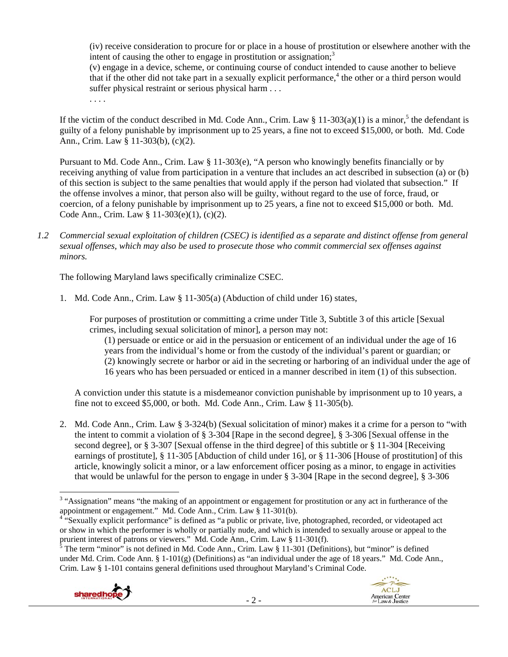(iv) receive consideration to procure for or place in a house of prostitution or elsewhere another with the intent of causing the other to engage in prostitution or assignation:<sup>3</sup>

(v) engage in a device, scheme, or continuing course of conduct intended to cause another to believe that if the other did not take part in a sexually explicit performance,<sup>4</sup> the other or a third person would suffer physical restraint or serious physical harm . . .

. . . .

If the victim of the conduct described in Md. Code Ann., Crim. Law  $\S 11-303(a)(1)$  is a minor,<sup>5</sup> the defendant is guilty of a felony punishable by imprisonment up to 25 years, a fine not to exceed \$15,000, or both. Md. Code Ann., Crim. Law § 11-303(b), (c)(2).

Pursuant to Md. Code Ann., Crim. Law § 11-303(e), "A person who knowingly benefits financially or by receiving anything of value from participation in a venture that includes an act described in subsection (a) or (b) of this section is subject to the same penalties that would apply if the person had violated that subsection." If the offense involves a minor, that person also will be guilty, without regard to the use of force, fraud, or coercion, of a felony punishable by imprisonment up to 25 years, a fine not to exceed \$15,000 or both. Md. Code Ann., Crim. Law § 11-303(e)(1), (c)(2).

*1.2 Commercial sexual exploitation of children (CSEC) is identified as a separate and distinct offense from general sexual offenses, which may also be used to prosecute those who commit commercial sex offenses against minors.*

The following Maryland laws specifically criminalize CSEC.

1. Md. Code Ann., Crim. Law § 11-305(a) (Abduction of child under 16) states,

For purposes of prostitution or committing a crime under Title 3, Subtitle 3 of this article [Sexual crimes, including sexual solicitation of minor], a person may not:

(1) persuade or entice or aid in the persuasion or enticement of an individual under the age of 16 years from the individual's home or from the custody of the individual's parent or guardian; or (2) knowingly secrete or harbor or aid in the secreting or harboring of an individual under the age of 16 years who has been persuaded or enticed in a manner described in item (1) of this subsection.

A conviction under this statute is a misdemeanor conviction punishable by imprisonment up to 10 years, a fine not to exceed \$5,000, or both. Md. Code Ann., Crim. Law  $\S 11-305(b)$ .

2. Md. Code Ann., Crim. Law § 3-324(b) (Sexual solicitation of minor) makes it a crime for a person to "with the intent to commit a violation of § 3-304 [Rape in the second degree], § 3-306 [Sexual offense in the second degree], or § 3-307 [Sexual offense in the third degree] of this subtitle or § 11-304 [Receiving earnings of prostitute], § 11-305 [Abduction of child under 16], or § 11-306 [House of prostitution] of this article, knowingly solicit a minor, or a law enforcement officer posing as a minor, to engage in activities that would be unlawful for the person to engage in under § 3-304 [Rape in the second degree], § 3-306

under Md. Crim. Code Ann. §  $1-101(g)$  (Definitions) as "an individual under the age of 18 years." Md. Code Ann., Crim. Law § 1-101 contains general definitions used throughout Maryland's Criminal Code.



<sup>&</sup>lt;sup>3</sup> "Assignation" means "the making of an appointment or engagement for prostitution or any act in furtherance of the appointment or engagement." Md. Code Ann., Crim. Law § 11-301(b).

<sup>&</sup>lt;sup>4 "S</sup>exually explicit performance" is defined as "a public or private, live, photographed, recorded, or videotaped act or show in which the performer is wholly or partially nude, and which is intended to sexually arouse or appeal to the prurient interest of patrons or viewers." Md. Code Ann., Crim. Law § 11-301(f).<br><sup>5</sup> The term "minor" is not defined in Md. Code Ann., Crim. Law § 11-301 (Definitions), but "minor" is defined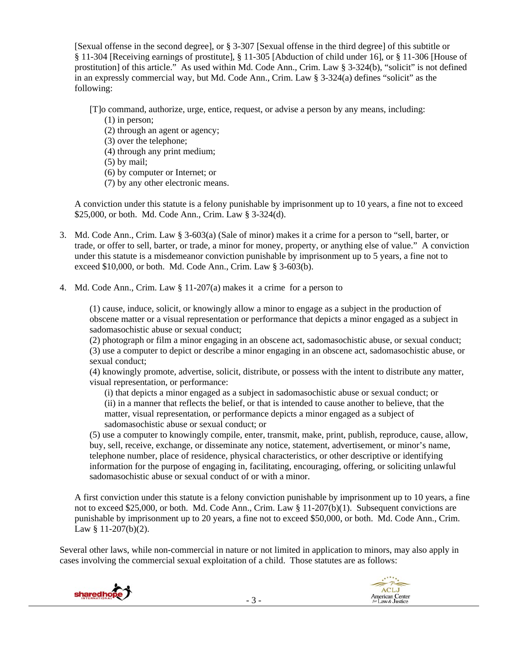[Sexual offense in the second degree], or § 3-307 [Sexual offense in the third degree] of this subtitle or § 11-304 [Receiving earnings of prostitute], § 11-305 [Abduction of child under 16], or § 11-306 [House of prostitution] of this article." As used within Md. Code Ann., Crim. Law § 3-324(b), "solicit" is not defined in an expressly commercial way, but Md. Code Ann., Crim. Law § 3-324(a) defines "solicit" as the following:

[T]o command, authorize, urge, entice, request, or advise a person by any means, including:

- (1) in person;
- (2) through an agent or agency;
- (3) over the telephone;
- (4) through any print medium;
- (5) by mail;
- (6) by computer or Internet; or
- (7) by any other electronic means.

A conviction under this statute is a felony punishable by imprisonment up to 10 years, a fine not to exceed \$25,000, or both. Md. Code Ann., Crim. Law § 3-324(d).

- 3. Md. Code Ann., Crim. Law § 3-603(a) (Sale of minor) makes it a crime for a person to "sell, barter, or trade, or offer to sell, barter, or trade, a minor for money, property, or anything else of value." A conviction under this statute is a misdemeanor conviction punishable by imprisonment up to 5 years, a fine not to exceed \$10,000, or both. Md. Code Ann., Crim. Law § 3-603(b).
- 4. Md. Code Ann., Crim. Law § 11-207(a) makes it a crime for a person to

(1) cause, induce, solicit, or knowingly allow a minor to engage as a subject in the production of obscene matter or a visual representation or performance that depicts a minor engaged as a subject in sadomasochistic abuse or sexual conduct;

(2) photograph or film a minor engaging in an obscene act, sadomasochistic abuse, or sexual conduct; (3) use a computer to depict or describe a minor engaging in an obscene act, sadomasochistic abuse, or sexual conduct;

(4) knowingly promote, advertise, solicit, distribute, or possess with the intent to distribute any matter, visual representation, or performance:

(i) that depicts a minor engaged as a subject in sadomasochistic abuse or sexual conduct; or (ii) in a manner that reflects the belief, or that is intended to cause another to believe, that the matter, visual representation, or performance depicts a minor engaged as a subject of sadomasochistic abuse or sexual conduct; or

(5) use a computer to knowingly compile, enter, transmit, make, print, publish, reproduce, cause, allow, buy, sell, receive, exchange, or disseminate any notice, statement, advertisement, or minor's name, telephone number, place of residence, physical characteristics, or other descriptive or identifying information for the purpose of engaging in, facilitating, encouraging, offering, or soliciting unlawful sadomasochistic abuse or sexual conduct of or with a minor.

A first conviction under this statute is a felony conviction punishable by imprisonment up to 10 years, a fine not to exceed \$25,000, or both. Md. Code Ann., Crim. Law § 11-207(b)(1). Subsequent convictions are punishable by imprisonment up to 20 years, a fine not to exceed \$50,000, or both. Md. Code Ann., Crim. Law § 11-207(b)(2).

Several other laws, while non-commercial in nature or not limited in application to minors, may also apply in cases involving the commercial sexual exploitation of a child. Those statutes are as follows:

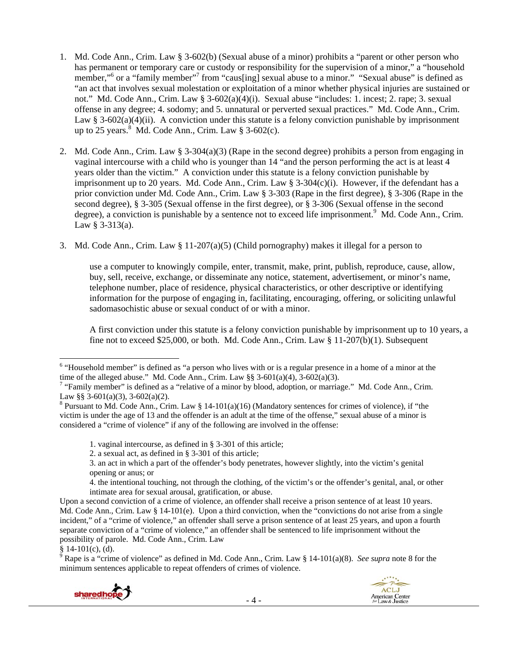- 1. Md. Code Ann., Crim. Law § 3-602(b) (Sexual abuse of a minor) prohibits a "parent or other person who has permanent or temporary care or custody or responsibility for the supervision of a minor," a "household member,"<sup>6</sup> or a "family member"<sup>7</sup> from "caus[ing] sexual abuse to a minor." "Sexual abuse" is defined as "an act that involves sexual molestation or exploitation of a minor whether physical injuries are sustained or not." Md. Code Ann., Crim. Law § 3-602(a)(4)(i). Sexual abuse "includes: 1. incest; 2. rape; 3. sexual offense in any degree; 4. sodomy; and 5. unnatural or perverted sexual practices." Md. Code Ann., Crim. Law § 3-602(a)(4)(ii). A conviction under this statute is a felony conviction punishable by imprisonment up to 25 years. $8 \text{ Md}$ . Code Ann., Crim. Law  $\$$  3-602(c).
- 2. Md. Code Ann., Crim. Law § 3-304(a)(3) (Rape in the second degree) prohibits a person from engaging in vaginal intercourse with a child who is younger than 14 "and the person performing the act is at least 4 years older than the victim." A conviction under this statute is a felony conviction punishable by imprisonment up to 20 years. Md. Code Ann., Crim. Law § 3-304(c)(i). However, if the defendant has a prior conviction under Md. Code Ann., Crim. Law § 3-303 (Rape in the first degree), § 3-306 (Rape in the second degree), § 3-305 (Sexual offense in the first degree), or § 3-306 (Sexual offense in the second degree), a conviction is punishable by a sentence not to exceed life imprisonment.<sup>9</sup> Md. Code Ann., Crim. Law  $§ 3-313(a)$ .
- 3. Md. Code Ann., Crim. Law § 11-207(a)(5) (Child pornography) makes it illegal for a person to

use a computer to knowingly compile, enter, transmit, make, print, publish, reproduce, cause, allow, buy, sell, receive, exchange, or disseminate any notice, statement, advertisement, or minor's name, telephone number, place of residence, physical characteristics, or other descriptive or identifying information for the purpose of engaging in, facilitating, encouraging, offering, or soliciting unlawful sadomasochistic abuse or sexual conduct of or with a minor.

A first conviction under this statute is a felony conviction punishable by imprisonment up to 10 years, a fine not to exceed \$25,000, or both. Md. Code Ann., Crim. Law  $\S 11-207(b)(1)$ . Subsequent

<sup>§ 14-101(</sup>c), (d). 9 Rape is a "crime of violence" as defined in Md. Code Ann., Crim. Law § 14-101(a)(8). *See supra* note 8 for the minimum sentences applicable to repeat offenders of crimes of violence.



<sup>&</sup>lt;sup>6</sup> "Household member" is defined as "a person who lives with or is a regular presence in a home of a minor at the time of the alleged abuse." Md. Code Ann., Crim. Law §§ 3-601(a)(4), 3-602(a)(3).

<sup>&</sup>lt;sup>7</sup> "Family member" is defined as a "relative of a minor by blood, adoption, or marriage." Md. Code Ann., Crim. Law §§ 3-601(a)(3), 3-602(a)(2).

<sup>&</sup>lt;sup>8</sup> Pursuant to Md. Code Ann., Crim. Law § 14-101(a)(16) (Mandatory sentences for crimes of violence), if "the victim is under the age of 13 and the offender is an adult at the time of the offense," sexual abuse of a minor is considered a "crime of violence" if any of the following are involved in the offense:

<sup>1.</sup> vaginal intercourse, as defined in § 3-301 of this article;

<sup>2.</sup> a sexual act, as defined in § 3-301 of this article;

<sup>3.</sup> an act in which a part of the offender's body penetrates, however slightly, into the victim's genital opening or anus; or

<sup>4.</sup> the intentional touching, not through the clothing, of the victim's or the offender's genital, anal, or other intimate area for sexual arousal, gratification, or abuse.

Upon a second conviction of a crime of violence, an offender shall receive a prison sentence of at least 10 years. Md. Code Ann., Crim. Law § 14-101(e). Upon a third conviction, when the "convictions do not arise from a single incident," of a "crime of violence," an offender shall serve a prison sentence of at least 25 years, and upon a fourth separate conviction of a "crime of violence," an offender shall be sentenced to life imprisonment without the possibility of parole. Md. Code Ann., Crim. Law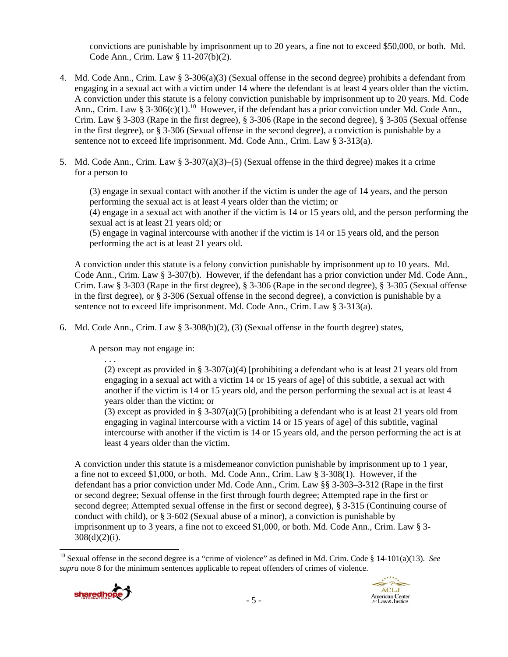convictions are punishable by imprisonment up to 20 years, a fine not to exceed \$50,000, or both. Md. Code Ann., Crim. Law § 11-207(b)(2).

- 4. Md. Code Ann., Crim. Law § 3-306(a)(3) (Sexual offense in the second degree) prohibits a defendant from engaging in a sexual act with a victim under 14 where the defendant is at least 4 years older than the victim. A conviction under this statute is a felony conviction punishable by imprisonment up to 20 years. Md. Code Ann., Crim. Law § 3-306(c)(1).<sup>10</sup> However, if the defendant has a prior conviction under Md. Code Ann., Crim. Law § 3-303 (Rape in the first degree), § 3-306 (Rape in the second degree), § 3-305 (Sexual offense in the first degree), or § 3-306 (Sexual offense in the second degree), a conviction is punishable by a sentence not to exceed life imprisonment. Md. Code Ann., Crim. Law § 3-313(a).
- 5. Md. Code Ann., Crim. Law  $\S 3-307(a)(3)-(5)$  (Sexual offense in the third degree) makes it a crime for a person to

(3) engage in sexual contact with another if the victim is under the age of 14 years, and the person performing the sexual act is at least 4 years older than the victim; or

(4) engage in a sexual act with another if the victim is 14 or 15 years old, and the person performing the sexual act is at least 21 years old; or

(5) engage in vaginal intercourse with another if the victim is 14 or 15 years old, and the person performing the act is at least 21 years old.

A conviction under this statute is a felony conviction punishable by imprisonment up to 10 years. Md. Code Ann., Crim. Law § 3-307(b). However, if the defendant has a prior conviction under Md. Code Ann., Crim. Law § 3-303 (Rape in the first degree), § 3-306 (Rape in the second degree), § 3-305 (Sexual offense in the first degree), or § 3-306 (Sexual offense in the second degree), a conviction is punishable by a sentence not to exceed life imprisonment. Md. Code Ann., Crim. Law § 3-313(a).

6. Md. Code Ann., Crim. Law  $\S$  3-308(b)(2), (3) (Sexual offense in the fourth degree) states,

A person may not engage in:

. . .

(2) except as provided in § 3-307(a)(4) [prohibiting a defendant who is at least 21 years old from engaging in a sexual act with a victim 14 or 15 years of age] of this subtitle, a sexual act with another if the victim is 14 or 15 years old, and the person performing the sexual act is at least 4 years older than the victim; or

(3) except as provided in § 3-307(a)(5) [prohibiting a defendant who is at least 21 years old from engaging in vaginal intercourse with a victim 14 or 15 years of age] of this subtitle, vaginal intercourse with another if the victim is 14 or 15 years old, and the person performing the act is at least 4 years older than the victim.

A conviction under this statute is a misdemeanor conviction punishable by imprisonment up to 1 year, a fine not to exceed \$1,000, or both. Md. Code Ann., Crim. Law § 3-308(1). However, if the defendant has a prior conviction under Md. Code Ann., Crim. Law §§ 3-303–3-312 (Rape in the first or second degree; Sexual offense in the first through fourth degree; Attempted rape in the first or second degree; Attempted sexual offense in the first or second degree), § 3-315 (Continuing course of conduct with child), or § 3-602 (Sexual abuse of a minor), a conviction is punishable by imprisonment up to 3 years, a fine not to exceed \$1,000, or both. Md. Code Ann., Crim. Law § 3-  $308(d)(2)(i)$ .

 10 Sexual offense in the second degree is a "crime of violence" as defined in Md. Crim. Code § 14-101(a)(13). *See supra* note 8 for the minimum sentences applicable to repeat offenders of crimes of violence.

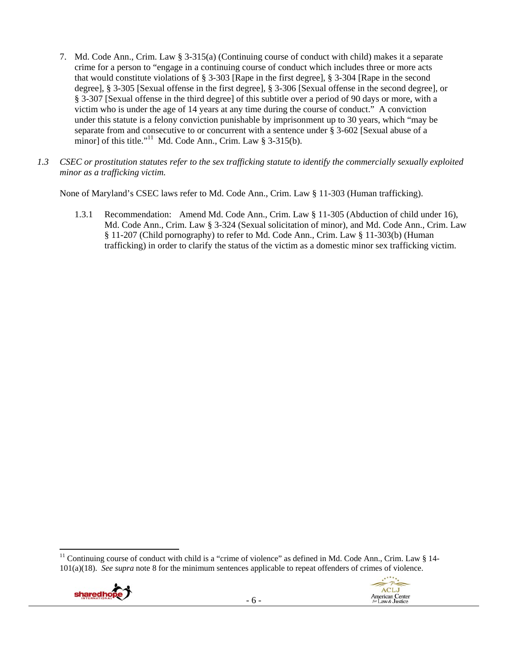- 7. Md. Code Ann., Crim. Law § 3-315(a) (Continuing course of conduct with child) makes it a separate crime for a person to "engage in a continuing course of conduct which includes three or more acts that would constitute violations of § 3-303 [Rape in the first degree], § 3-304 [Rape in the second degree], § 3-305 [Sexual offense in the first degree], § 3-306 [Sexual offense in the second degree], or § 3-307 [Sexual offense in the third degree] of this subtitle over a period of 90 days or more, with a victim who is under the age of 14 years at any time during the course of conduct." A conviction under this statute is a felony conviction punishable by imprisonment up to 30 years, which "may be separate from and consecutive to or concurrent with a sentence under § 3-602 [Sexual abuse of a minor] of this title."<sup>11</sup> Md. Code Ann., Crim. Law § 3-315(b).
- *1.3 CSEC or prostitution statutes refer to the sex trafficking statute to identify the commercially sexually exploited minor as a trafficking victim.*

None of Maryland's CSEC laws refer to Md. Code Ann., Crim. Law § 11-303 (Human trafficking).

1.3.1 Recommendation: Amend Md. Code Ann., Crim. Law § 11-305 (Abduction of child under 16), Md. Code Ann., Crim. Law § 3-324 (Sexual solicitation of minor), and Md. Code Ann., Crim. Law § 11-207 (Child pornography) to refer to Md. Code Ann., Crim. Law § 11-303(b) (Human trafficking) in order to clarify the status of the victim as a domestic minor sex trafficking victim.

 <sup>11</sup> Continuing course of conduct with child is a "crime of violence" as defined in Md. Code Ann., Crim. Law § 14-101(a)(18). *See supra* note 8 for the minimum sentences applicable to repeat offenders of crimes of violence.



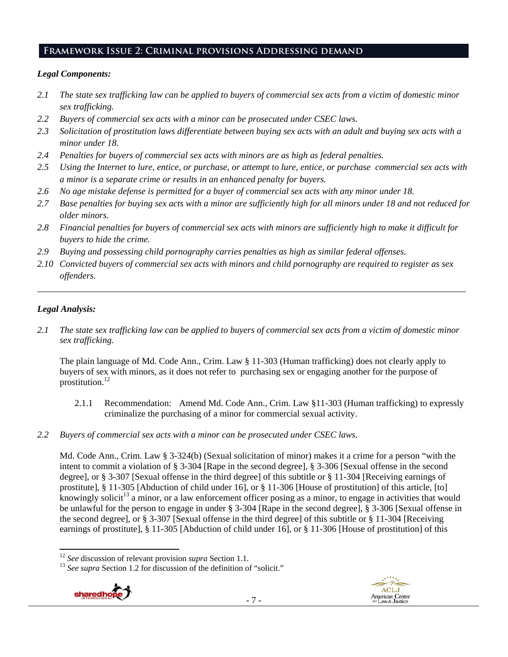# **Framework Issue 2: Criminal provisions Addressing demand**

# *Legal Components:*

- *2.1 The state sex trafficking law can be applied to buyers of commercial sex acts from a victim of domestic minor sex trafficking.*
- *2.2 Buyers of commercial sex acts with a minor can be prosecuted under CSEC laws.*
- *2.3 Solicitation of prostitution laws differentiate between buying sex acts with an adult and buying sex acts with a minor under 18.*
- *2.4 Penalties for buyers of commercial sex acts with minors are as high as federal penalties.*
- *2.5 Using the Internet to lure, entice, or purchase, or attempt to lure, entice, or purchase commercial sex acts with a minor is a separate crime or results in an enhanced penalty for buyers.*
- *2.6 No age mistake defense is permitted for a buyer of commercial sex acts with any minor under 18.*
- *2.7 Base penalties for buying sex acts with a minor are sufficiently high for all minors under 18 and not reduced for older minors.*
- *2.8 Financial penalties for buyers of commercial sex acts with minors are sufficiently high to make it difficult for buyers to hide the crime.*
- *2.9 Buying and possessing child pornography carries penalties as high as similar federal offenses.*
- *2.10 Convicted buyers of commercial sex acts with minors and child pornography are required to register as sex offenders.*

\_\_\_\_\_\_\_\_\_\_\_\_\_\_\_\_\_\_\_\_\_\_\_\_\_\_\_\_\_\_\_\_\_\_\_\_\_\_\_\_\_\_\_\_\_\_\_\_\_\_\_\_\_\_\_\_\_\_\_\_\_\_\_\_\_\_\_\_\_\_\_\_\_\_\_\_\_\_\_\_\_\_\_\_\_\_\_\_\_\_\_\_\_\_

# *Legal Analysis:*

*2.1 The state sex trafficking law can be applied to buyers of commercial sex acts from a victim of domestic minor sex trafficking.* 

The plain language of Md. Code Ann., Crim. Law § 11-303 (Human trafficking) does not clearly apply to buyers of sex with minors, as it does not refer to purchasing sex or engaging another for the purpose of prostitution.<sup>12</sup>

- 2.1.1 Recommendation: Amend Md. Code Ann., Crim. Law §11-303 (Human trafficking) to expressly criminalize the purchasing of a minor for commercial sexual activity.
- *2.2 Buyers of commercial sex acts with a minor can be prosecuted under CSEC laws.*

Md. Code Ann., Crim. Law § 3-324(b) (Sexual solicitation of minor) makes it a crime for a person "with the intent to commit a violation of § 3-304 [Rape in the second degree], § 3-306 [Sexual offense in the second degree], or § 3-307 [Sexual offense in the third degree] of this subtitle or § 11-304 [Receiving earnings of prostitute], § 11-305 [Abduction of child under 16], or § 11-306 [House of prostitution] of this article, [to] knowingly solicit<sup>13</sup> a minor, or a law enforcement officer posing as a minor, to engage in activities that would be unlawful for the person to engage in under § 3-304 [Rape in the second degree], § 3-306 [Sexual offense in the second degree], or § 3-307 [Sexual offense in the third degree] of this subtitle or § 11-304 [Receiving earnings of prostitute], § 11-305 [Abduction of child under 16], or § 11-306 [House of prostitution] of this

<sup>&</sup>lt;sup>13</sup> See supra Section 1.2 for discussion of the definition of "solicit."



 $12$  See discussion of relevant provision *supra* Section 1.1.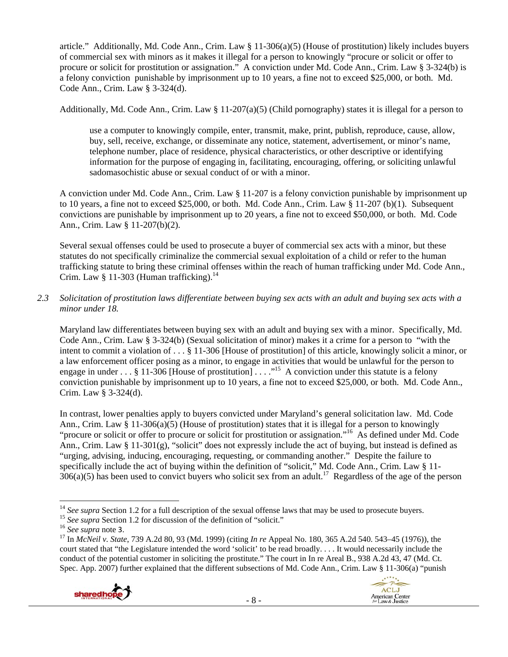article." Additionally, Md. Code Ann., Crim. Law § 11-306(a)(5) (House of prostitution) likely includes buyers of commercial sex with minors as it makes it illegal for a person to knowingly "procure or solicit or offer to procure or solicit for prostitution or assignation." A conviction under Md. Code Ann., Crim. Law § 3-324(b) is a felony conviction punishable by imprisonment up to 10 years, a fine not to exceed \$25,000, or both. Md. Code Ann., Crim. Law § 3-324(d).

Additionally, Md. Code Ann., Crim. Law § 11-207(a)(5) (Child pornography) states it is illegal for a person to

use a computer to knowingly compile, enter, transmit, make, print, publish, reproduce, cause, allow, buy, sell, receive, exchange, or disseminate any notice, statement, advertisement, or minor's name, telephone number, place of residence, physical characteristics, or other descriptive or identifying information for the purpose of engaging in, facilitating, encouraging, offering, or soliciting unlawful sadomasochistic abuse or sexual conduct of or with a minor.

A conviction under Md. Code Ann., Crim. Law § 11-207 is a felony conviction punishable by imprisonment up to 10 years, a fine not to exceed \$25,000, or both. Md. Code Ann., Crim. Law § 11-207 (b)(1). Subsequent convictions are punishable by imprisonment up to 20 years, a fine not to exceed \$50,000, or both. Md. Code Ann., Crim. Law § 11-207(b)(2).

Several sexual offenses could be used to prosecute a buyer of commercial sex acts with a minor, but these statutes do not specifically criminalize the commercial sexual exploitation of a child or refer to the human trafficking statute to bring these criminal offenses within the reach of human trafficking under Md. Code Ann., Crim. Law § 11-303 (Human trafficking). $^{14}$ 

*2.3 Solicitation of prostitution laws differentiate between buying sex acts with an adult and buying sex acts with a minor under 18.* 

Maryland law differentiates between buying sex with an adult and buying sex with a minor. Specifically, Md. Code Ann., Crim. Law § 3-324(b) (Sexual solicitation of minor) makes it a crime for a person to "with the intent to commit a violation of . . . § 11-306 [House of prostitution] of this article, knowingly solicit a minor, or a law enforcement officer posing as a minor, to engage in activities that would be unlawful for the person to engage in under  $\dots$  § 11-306 [House of prostitution]  $\dots$ ."<sup>15</sup> A conviction under this statute is a felony conviction punishable by imprisonment up to 10 years, a fine not to exceed \$25,000, or both. Md. Code Ann., Crim. Law § 3-324(d).

In contrast, lower penalties apply to buyers convicted under Maryland's general solicitation law. Md. Code Ann., Crim. Law § 11-306(a)(5) (House of prostitution) states that it is illegal for a person to knowingly "procure or solicit or offer to procure or solicit for prostitution or assignation."16 As defined under Md. Code Ann., Crim. Law § 11-301(g), "solicit" does not expressly include the act of buying, but instead is defined as "urging, advising, inducing, encouraging, requesting, or commanding another." Despite the failure to specifically include the act of buying within the definition of "solicit," Md. Code Ann., Crim. Law § 11-  $306(a)(5)$  has been used to convict buyers who solicit sex from an adult.<sup>17</sup> Regardless of the age of the person

- 8 -





<sup>&</sup>lt;sup>14</sup> See supra Section 1.2 for a full description of the sexual offense laws that may be used to prosecute buyers.<br><sup>15</sup> See supra Section 1.2 for discussion of the definition of "solicit."<br><sup>16</sup> See supra note 3.<br><sup>17</sup> In

court stated that "the Legislature intended the word 'solicit' to be read broadly. . . . It would necessarily include the conduct of the potential customer in soliciting the prostitute." The court in In re Areal B., 938 A.2d 43, 47 (Md. Ct. Spec. App. 2007) further explained that the different subsections of Md. Code Ann., Crim. Law § 11-306(a) "punish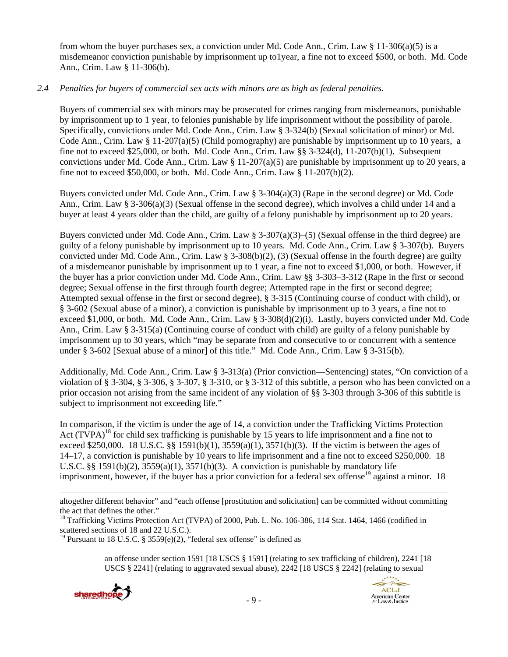from whom the buyer purchases sex, a conviction under Md. Code Ann., Crim. Law § 11-306(a)(5) is a misdemeanor conviction punishable by imprisonment up to1year, a fine not to exceed \$500, or both. Md. Code Ann., Crim. Law § 11-306(b).

## *2.4 Penalties for buyers of commercial sex acts with minors are as high as federal penalties.*

Buyers of commercial sex with minors may be prosecuted for crimes ranging from misdemeanors, punishable by imprisonment up to 1 year, to felonies punishable by life imprisonment without the possibility of parole. Specifically, convictions under Md. Code Ann., Crim. Law § 3-324(b) (Sexual solicitation of minor) or Md. Code Ann., Crim. Law  $\S 11-207(a)(5)$  (Child pornography) are punishable by imprisonment up to 10 years, a fine not to exceed \$25,000, or both. Md. Code Ann., Crim. Law §§ 3-324(d), 11-207(b)(1). Subsequent convictions under Md. Code Ann., Crim. Law  $\S 11{\text -}207(a)(5)$  are punishable by imprisonment up to 20 years, a fine not to exceed \$50,000, or both. Md. Code Ann., Crim. Law § 11-207(b)(2).

Buyers convicted under Md. Code Ann., Crim. Law § 3-304(a)(3) (Rape in the second degree) or Md. Code Ann., Crim. Law § 3-306(a)(3) (Sexual offense in the second degree), which involves a child under 14 and a buyer at least 4 years older than the child, are guilty of a felony punishable by imprisonment up to 20 years.

Buyers convicted under Md. Code Ann., Crim. Law § 3-307(a)(3)–(5) (Sexual offense in the third degree) are guilty of a felony punishable by imprisonment up to 10 years. Md. Code Ann., Crim. Law § 3-307(b). Buyers convicted under Md. Code Ann., Crim. Law § 3-308(b)(2), (3) (Sexual offense in the fourth degree) are guilty of a misdemeanor punishable by imprisonment up to 1 year, a fine not to exceed \$1,000, or both. However, if the buyer has a prior conviction under Md. Code Ann., Crim. Law §§ 3-303–3-312 (Rape in the first or second degree; Sexual offense in the first through fourth degree; Attempted rape in the first or second degree; Attempted sexual offense in the first or second degree), § 3-315 (Continuing course of conduct with child), or § 3-602 (Sexual abuse of a minor), a conviction is punishable by imprisonment up to 3 years, a fine not to exceed \$1,000, or both. Md. Code Ann., Crim. Law § 3-308(d)(2)(i). Lastly, buyers convicted under Md. Code Ann., Crim. Law § 3-315(a) (Continuing course of conduct with child) are guilty of a felony punishable by imprisonment up to 30 years, which "may be separate from and consecutive to or concurrent with a sentence under § 3-602 [Sexual abuse of a minor] of this title." Md. Code Ann., Crim. Law § 3-315(b).

Additionally, Md. Code Ann., Crim. Law § 3-313(a) (Prior conviction—Sentencing) states, "On conviction of a violation of § 3-304, § 3-306, § 3-307, § 3-310, or § 3-312 of this subtitle, a person who has been convicted on a prior occasion not arising from the same incident of any violation of §§ 3-303 through 3-306 of this subtitle is subject to imprisonment not exceeding life."

In comparison, if the victim is under the age of 14, a conviction under the Trafficking Victims Protection Act (TVPA)<sup>18</sup> for child sex trafficking is punishable by 15 years to life imprisonment and a fine not to exceed \$250,000. 18 U.S.C. §§ 1591(b)(1),  $3559(a)(1)$ ,  $3571(b)(3)$ . If the victim is between the ages of 14–17, a conviction is punishable by 10 years to life imprisonment and a fine not to exceed \$250,000. 18 U.S.C. §§ 1591(b)(2),  $3559(a)(1)$ ,  $3571(b)(3)$ . A conviction is punishable by mandatory life imprisonment, however, if the buyer has a prior conviction for a federal sex offense<sup>19</sup> against a minor. 18

an offense under section 1591 [18 USCS § 1591] (relating to sex trafficking of children), 2241 [18 USCS § 2241] (relating to aggravated sexual abuse), 2242 [18 USCS § 2242] (relating to sexual





<sup>&</sup>lt;u> 1989 - Johann Stoff, amerikansk politiker (d. 1989)</u> altogether different behavior" and "each offense [prostitution and solicitation] can be committed without committing the act that defines the other."

<sup>&</sup>lt;sup>18</sup> Trafficking Victims Protection Act (TVPA) of 2000, Pub. L. No. 106-386, 114 Stat. 1464, 1466 (codified in scattered sections of 18 and 22 U.S.C.).

<sup>&</sup>lt;sup>19</sup> Pursuant to 18 U.S.C. § 3559(e)(2), "federal sex offense" is defined as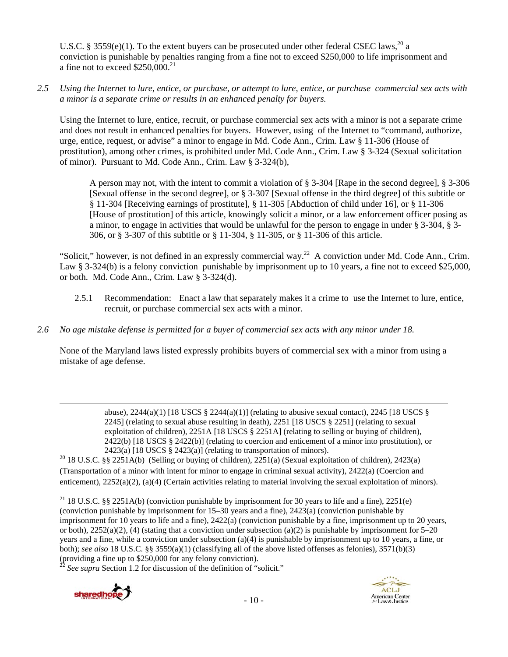U.S.C. § 3559(e)(1). To the extent buyers can be prosecuted under other federal CSEC laws.<sup>20</sup> a conviction is punishable by penalties ranging from a fine not to exceed \$250,000 to life imprisonment and a fine not to exceed \$250,000.<sup>21</sup>

*2.5 Using the Internet to lure, entice, or purchase, or attempt to lure, entice, or purchase commercial sex acts with a minor is a separate crime or results in an enhanced penalty for buyers.* 

Using the Internet to lure, entice, recruit, or purchase commercial sex acts with a minor is not a separate crime and does not result in enhanced penalties for buyers. However, using of the Internet to "command, authorize, urge, entice, request, or advise" a minor to engage in Md. Code Ann., Crim. Law § 11-306 (House of prostitution), among other crimes, is prohibited under Md. Code Ann., Crim. Law § 3-324 (Sexual solicitation of minor). Pursuant to Md. Code Ann., Crim. Law § 3-324(b),

A person may not, with the intent to commit a violation of § 3-304 [Rape in the second degree], § 3-306 [Sexual offense in the second degree], or § 3-307 [Sexual offense in the third degree] of this subtitle or § 11-304 [Receiving earnings of prostitute], § 11-305 [Abduction of child under 16], or § 11-306 [House of prostitution] of this article, knowingly solicit a minor, or a law enforcement officer posing as a minor, to engage in activities that would be unlawful for the person to engage in under § 3-304, § 3- 306, or § 3-307 of this subtitle or § 11-304, § 11-305, or § 11-306 of this article.

"Solicit," however, is not defined in an expressly commercial way.<sup>22</sup> A conviction under Md. Code Ann., Crim. Law § 3-324(b) is a felony conviction punishable by imprisonment up to 10 years, a fine not to exceed \$25,000, or both. Md. Code Ann., Crim. Law § 3-324(d).

- 2.5.1 Recommendation: Enact a law that separately makes it a crime to use the Internet to lure, entice, recruit, or purchase commercial sex acts with a minor.
- *2.6 No age mistake defense is permitted for a buyer of commercial sex acts with any minor under 18.*

None of the Maryland laws listed expressly prohibits buyers of commercial sex with a minor from using a mistake of age defense.

<u> Andrewski politika (za obrazu pod predsjednika u predsjednika u predsjednika u predsjednika (za obrazu pod p</u>

abuse),  $2244(a)(1)$  [18 USCS §  $2244(a)(1)$ ] (relating to abusive sexual contact),  $2245$  [18 USCS § 2245] (relating to sexual abuse resulting in death), 2251 [18 USCS § 2251] (relating to sexual exploitation of children), 2251A [18 USCS § 2251A] (relating to selling or buying of children), 2422(b) [18 USCS § 2422(b)] (relating to coercion and enticement of a minor into prostitution), or 2423(a) [18 USCS § 2423(a)] (relating to transportation of minors).<br><sup>20</sup> 18 U.S.C. §§ 2251A(b) (Selling or buying of children), 2251(a) (Sexual exploitation of children), 2423(a)

(Transportation of a minor with intent for minor to engage in criminal sexual activity), 2422(a) (Coercion and enticement), 2252(a)(2), (a)(4) (Certain activities relating to material involving the sexual exploitation of minors).

<sup>21</sup> 18 U.S.C. §§ 2251A(b) (conviction punishable by imprisonment for 30 years to life and a fine), 2251(e) (conviction punishable by imprisonment for 15–30 years and a fine), 2423(a) (conviction punishable by imprisonment for 10 years to life and a fine), 2422(a) (conviction punishable by a fine, imprisonment up to 20 years, or both), 2252(a)(2), (4) (stating that a conviction under subsection (a)(2) is punishable by imprisonment for 5–20 years and a fine, while a conviction under subsection (a)(4) is punishable by imprisonment up to 10 years, a fine, or both); *see also* 18 U.S.C. §§ 3559(a)(1) (classifying all of the above listed offenses as felonies), 3571(b)(3) (providing a fine up to \$250,000 for any felony conviction).

 $^{22}$  *See supra* Section 1.2 for discussion of the definition of "solicit."

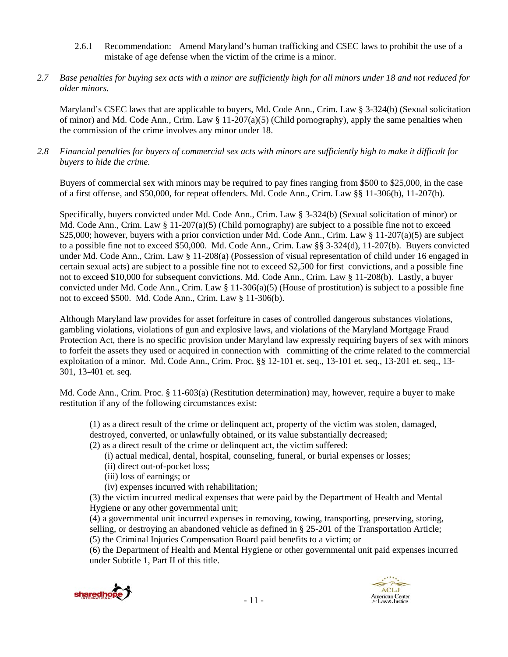- 2.6.1 Recommendation: Amend Maryland's human trafficking and CSEC laws to prohibit the use of a mistake of age defense when the victim of the crime is a minor.
- *2.7 Base penalties for buying sex acts with a minor are sufficiently high for all minors under 18 and not reduced for older minors.*

Maryland's CSEC laws that are applicable to buyers, Md. Code Ann., Crim. Law § 3-324(b) (Sexual solicitation of minor) and Md. Code Ann., Crim. Law  $\S 11-207(a)(5)$  (Child pornography), apply the same penalties when the commission of the crime involves any minor under 18.

*2.8 Financial penalties for buyers of commercial sex acts with minors are sufficiently high to make it difficult for buyers to hide the crime.* 

Buyers of commercial sex with minors may be required to pay fines ranging from \$500 to \$25,000, in the case of a first offense, and \$50,000, for repeat offenders. Md. Code Ann., Crim. Law §§ 11-306(b), 11-207(b).

Specifically, buyers convicted under Md. Code Ann., Crim. Law § 3-324(b) (Sexual solicitation of minor) or Md. Code Ann., Crim. Law  $\S 11-207(a)(5)$  (Child pornography) are subject to a possible fine not to exceed \$25,000; however, buyers with a prior conviction under Md. Code Ann., Crim. Law § 11-207(a)(5) are subject to a possible fine not to exceed \$50,000. Md. Code Ann., Crim. Law §§ 3-324(d), 11-207(b). Buyers convicted under Md. Code Ann., Crim. Law § 11-208(a) (Possession of visual representation of child under 16 engaged in certain sexual acts) are subject to a possible fine not to exceed \$2,500 for first convictions, and a possible fine not to exceed \$10,000 for subsequent convictions. Md. Code Ann., Crim. Law § 11-208(b). Lastly, a buyer convicted under Md. Code Ann., Crim. Law § 11-306(a)(5) (House of prostitution) is subject to a possible fine not to exceed \$500. Md. Code Ann., Crim. Law § 11-306(b).

Although Maryland law provides for asset forfeiture in cases of controlled dangerous substances violations, gambling violations, violations of gun and explosive laws, and violations of the Maryland Mortgage Fraud Protection Act, there is no specific provision under Maryland law expressly requiring buyers of sex with minors to forfeit the assets they used or acquired in connection with committing of the crime related to the commercial exploitation of a minor. Md. Code Ann., Crim. Proc. §§ 12-101 et. seq., 13-101 et. seq., 13-201 et. seq., 13- 301, 13-401 et. seq.

Md. Code Ann., Crim. Proc. § 11-603(a) (Restitution determination) may, however, require a buyer to make restitution if any of the following circumstances exist:

(1) as a direct result of the crime or delinquent act, property of the victim was stolen, damaged, destroyed, converted, or unlawfully obtained, or its value substantially decreased;

(2) as a direct result of the crime or delinquent act, the victim suffered:

- (i) actual medical, dental, hospital, counseling, funeral, or burial expenses or losses;
- (ii) direct out-of-pocket loss;

(iii) loss of earnings; or

(iv) expenses incurred with rehabilitation;

(3) the victim incurred medical expenses that were paid by the Department of Health and Mental Hygiene or any other governmental unit;

(4) a governmental unit incurred expenses in removing, towing, transporting, preserving, storing, selling, or destroying an abandoned vehicle as defined in § 25-201 of the Transportation Article; (5) the Criminal Injuries Compensation Board paid benefits to a victim; or

(6) the Department of Health and Mental Hygiene or other governmental unit paid expenses incurred under Subtitle 1, Part II of this title.



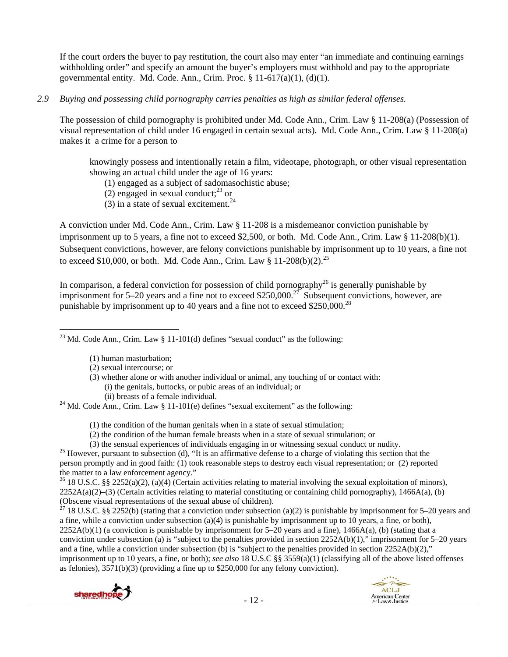If the court orders the buyer to pay restitution, the court also may enter "an immediate and continuing earnings withholding order" and specify an amount the buyer's employers must withhold and pay to the appropriate governmental entity. Md. Code. Ann., Crim. Proc.  $\S 11-617(a)(1)$ ,  $(d)(1)$ .

#### *2.9 Buying and possessing child pornography carries penalties as high as similar federal offenses.*

The possession of child pornography is prohibited under Md. Code Ann., Crim. Law § 11-208(a) (Possession of visual representation of child under 16 engaged in certain sexual acts). Md. Code Ann., Crim. Law § 11-208(a) makes it a crime for a person to

knowingly possess and intentionally retain a film, videotape, photograph, or other visual representation showing an actual child under the age of 16 years:

(1) engaged as a subject of sadomasochistic abuse;

(2) engaged in sexual conduct; $^{23}$  or

(3) in a state of sexual excitement.<sup>24</sup>

A conviction under Md. Code Ann., Crim. Law § 11-208 is a misdemeanor conviction punishable by imprisonment up to 5 years, a fine not to exceed \$2,500, or both. Md. Code Ann., Crim. Law § 11-208(b)(1). Subsequent convictions, however, are felony convictions punishable by imprisonment up to 10 years, a fine not to exceed \$10,000, or both. Md. Code Ann., Crim. Law  $§$  11-208(b)(2).<sup>25</sup>

In comparison, a federal conviction for possession of child pornography<sup>26</sup> is generally punishable by imprisonment for 5–20 years and a fine not to exceed \$250,000.<sup>27</sup> Subsequent convictions, however, are punishable by imprisonment up to 40 years and a fine not to exceed  $$250,000.<sup>28</sup>$ 

 <sup>23</sup> Md. Code Ann., Crim. Law § 11-101(d) defines "sexual conduct" as the following:

- (1) human masturbation;
- (2) sexual intercourse; or
- (3) whether alone or with another individual or animal, any touching of or contact with: (i) the genitals, buttocks, or pubic areas of an individual; or
	-

(ii) breasts of a female individual.<br><sup>24</sup> Md. Code Ann., Crim. Law § 11-101(e) defines "sexual excitement" as the following:

(1) the condition of the human genitals when in a state of sexual stimulation;

- (2) the condition of the human female breasts when in a state of sexual stimulation; or
- 

(3) the sensual experiences of individuals engaging in or witnessing sexual conduct or nudity.<br><sup>25</sup> However, pursuant to subsection (d), "It is an affirmative defense to a charge of violating this section that the person promptly and in good faith: (1) took reasonable steps to destroy each visual representation; or (2) reported the matter to a law enforcement agency."

<sup>26</sup> 18 U.S.C. §§ 2252(a)(2), (a)(4) (Certain activities relating to material involving the sexual exploitation of minors),  $2252A(a)(2)$ –(3) (Certain activities relating to material constituting or containing child pornography), 1466A(a), (b) (Obscene visual representations of the sexual abuse of children).

 $27$  18 U.S.C. §§ 2252(b) (stating that a conviction under subsection (a)(2) is punishable by imprisonment for 5–20 years and a fine, while a conviction under subsection (a)(4) is punishable by imprisonment up to 10 years, a fine, or both),  $2252A(b)(1)$  (a conviction is punishable by imprisonment for  $5-20$  years and a fine),  $1466A(a)$ , (b) (stating that a conviction under subsection (a) is "subject to the penalties provided in section  $2252A(b)(1)$ ," imprisonment for 5–20 years and a fine, while a conviction under subsection (b) is "subject to the penalties provided in section  $2252A(b)(2)$ ," imprisonment up to 10 years, a fine, or both); *see also* 18 U.S.C §§ 3559(a)(1) (classifying all of the above listed offenses as felonies), 3571(b)(3) (providing a fine up to \$250,000 for any felony conviction).



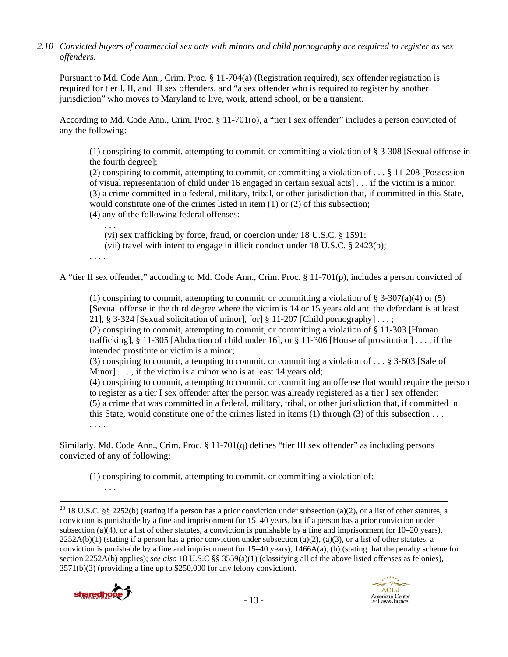*2.10 Convicted buyers of commercial sex acts with minors and child pornography are required to register as sex offenders.*

Pursuant to Md. Code Ann., Crim. Proc. § 11-704(a) (Registration required), sex offender registration is required for tier I, II, and III sex offenders, and "a sex offender who is required to register by another jurisdiction" who moves to Maryland to live, work, attend school, or be a transient.

According to Md. Code Ann., Crim. Proc. § 11-701(o), a "tier I sex offender" includes a person convicted of any the following:

(1) conspiring to commit, attempting to commit, or committing a violation of § 3-308 [Sexual offense in the fourth degree];

(2) conspiring to commit, attempting to commit, or committing a violation of . . . § 11-208 [Possession of visual representation of child under 16 engaged in certain sexual acts] . . . if the victim is a minor; (3) a crime committed in a federal, military, tribal, or other jurisdiction that, if committed in this State, would constitute one of the crimes listed in item (1) or (2) of this subsection;

(4) any of the following federal offenses:

. . . (vi) sex trafficking by force, fraud, or coercion under 18 U.S.C. § 1591;

(vii) travel with intent to engage in illicit conduct under 18 U.S.C. § 2423(b);

. . . .

A "tier II sex offender," according to Md. Code Ann., Crim. Proc. § 11-701(p), includes a person convicted of

(1) conspiring to commit, attempting to commit, or committing a violation of  $\S 3-307(a)(4)$  or (5) [Sexual offense in the third degree where the victim is 14 or 15 years old and the defendant is at least 21], § 3-324 [Sexual solicitation of minor], [or] § 11-207 [Child pornography]  $\dots$ ;

(2) conspiring to commit, attempting to commit, or committing a violation of § 11-303 [Human trafficking],  $\S 11-305$  [Abduction of child under 16], or  $\S 11-306$  [House of prostitution] ..., if the intended prostitute or victim is a minor;

(3) conspiring to commit, attempting to commit, or committing a violation of . . . § 3-603 [Sale of Minor] . . . , if the victim is a minor who is at least 14 years old;

(4) conspiring to commit, attempting to commit, or committing an offense that would require the person to register as a tier I sex offender after the person was already registered as a tier I sex offender; (5) a crime that was committed in a federal, military, tribal, or other jurisdiction that, if committed in this State, would constitute one of the crimes listed in items (1) through (3) of this subsection . . . . . . .

Similarly, Md. Code Ann., Crim. Proc. § 11-701(q) defines "tier III sex offender" as including persons convicted of any of following:

(1) conspiring to commit, attempting to commit, or committing a violation of:

<sup>28</sup> 18 U.S.C. §§ 2252(b) (stating if a person has a prior conviction under subsection (a)(2), or a list of other statutes, a conviction is punishable by a fine and imprisonment for 15–40 years, but if a person has a prior conviction under subsection (a)(4), or a list of other statutes, a conviction is punishable by a fine and imprisonment for 10–20 years),  $2252A(b)(1)$  (stating if a person has a prior conviction under subsection (a)(2), (a)(3), or a list of other statutes, a conviction is punishable by a fine and imprisonment for  $15-40$  years),  $1466A(a)$ , (b) (stating that the penalty scheme for section 2252A(b) applies); *see also* 18 U.S.C §§ 3559(a)(1) (classifying all of the above listed offenses as felonies), 3571(b)(3) (providing a fine up to \$250,000 for any felony conviction).



. . .

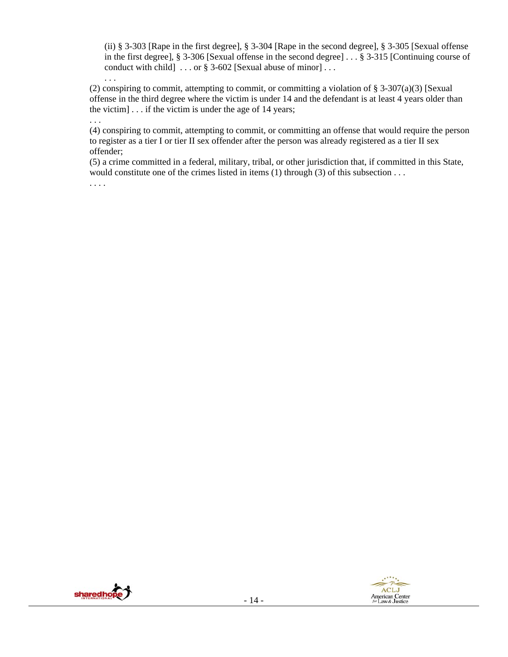(ii) § 3-303 [Rape in the first degree], § 3-304 [Rape in the second degree], § 3-305 [Sexual offense in the first degree], § 3-306 [Sexual offense in the second degree] . . . § 3-315 [Continuing course of conduct with child] . . . or § 3-602 [Sexual abuse of minor] . . .

(2) conspiring to commit, attempting to commit, or committing a violation of  $\S 3-307(a)(3)$  [Sexual offense in the third degree where the victim is under 14 and the defendant is at least 4 years older than the victim] . . . if the victim is under the age of 14 years;

(4) conspiring to commit, attempting to commit, or committing an offense that would require the person to register as a tier I or tier II sex offender after the person was already registered as a tier II sex offender;

(5) a crime committed in a federal, military, tribal, or other jurisdiction that, if committed in this State, would constitute one of the crimes listed in items  $(1)$  through  $(3)$  of this subsection . . .

. . . .

. . .

. . .

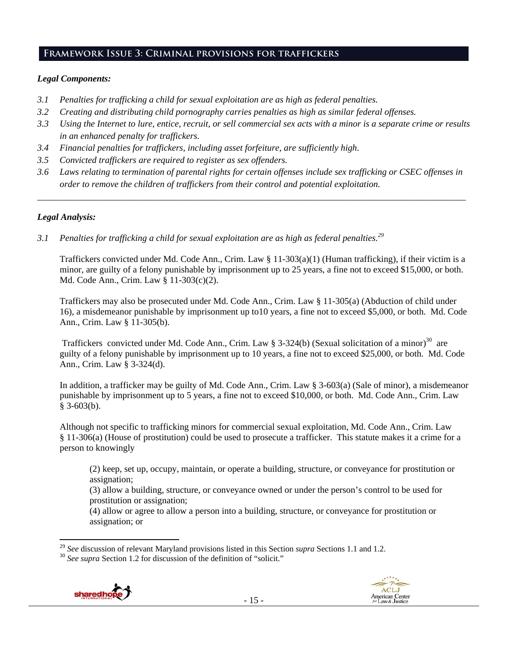## **Framework Issue 3: Criminal provisions for traffickers**

#### *Legal Components:*

- *3.1 Penalties for trafficking a child for sexual exploitation are as high as federal penalties.*
- *3.2 Creating and distributing child pornography carries penalties as high as similar federal offenses.*
- *3.3 Using the Internet to lure, entice, recruit, or sell commercial sex acts with a minor is a separate crime or results in an enhanced penalty for traffickers.*
- *3.4 Financial penalties for traffickers, including asset forfeiture, are sufficiently high*.
- *3.5 Convicted traffickers are required to register as sex offenders.*
- *3.6 Laws relating to termination of parental rights for certain offenses include sex trafficking or CSEC offenses in order to remove the children of traffickers from their control and potential exploitation.*

*\_\_\_\_\_\_\_\_\_\_\_\_\_\_\_\_\_\_\_\_\_\_\_\_\_\_\_\_\_\_\_\_\_\_\_\_\_\_\_\_\_\_\_\_\_\_\_\_\_\_\_\_\_\_\_\_\_\_\_\_\_\_\_\_\_\_\_\_\_\_\_\_\_\_\_\_\_\_\_\_\_\_\_\_\_\_\_\_\_\_\_\_\_\_* 

#### *Legal Analysis:*

*3.1 Penalties for trafficking a child for sexual exploitation are as high as federal penalties.29* 

Traffickers convicted under Md. Code Ann., Crim. Law § 11-303(a)(1) (Human trafficking), if their victim is a minor, are guilty of a felony punishable by imprisonment up to 25 years, a fine not to exceed \$15,000, or both. Md. Code Ann., Crim. Law § 11-303(c)(2).

Traffickers may also be prosecuted under Md. Code Ann., Crim. Law § 11-305(a) (Abduction of child under 16), a misdemeanor punishable by imprisonment up to10 years, a fine not to exceed \$5,000, or both. Md. Code Ann., Crim. Law § 11-305(b).

Traffickers convicted under Md. Code Ann., Crim. Law § 3-324(b) (Sexual solicitation of a minor)<sup>30</sup> are guilty of a felony punishable by imprisonment up to 10 years, a fine not to exceed \$25,000, or both. Md. Code Ann., Crim. Law § 3-324(d).

In addition, a trafficker may be guilty of Md. Code Ann., Crim. Law § 3-603(a) (Sale of minor), a misdemeanor punishable by imprisonment up to 5 years, a fine not to exceed \$10,000, or both. Md. Code Ann., Crim. Law § 3-603(b).

Although not specific to trafficking minors for commercial sexual exploitation, Md. Code Ann., Crim. Law § 11-306(a) (House of prostitution) could be used to prosecute a trafficker. This statute makes it a crime for a person to knowingly

(2) keep, set up, occupy, maintain, or operate a building, structure, or conveyance for prostitution or assignation;

(3) allow a building, structure, or conveyance owned or under the person's control to be used for prostitution or assignation;

(4) allow or agree to allow a person into a building, structure, or conveyance for prostitution or assignation; or

- 15 -





<sup>&</sup>lt;sup>29</sup> *See* discussion of relevant Maryland provisions listed in this Section *supra* Sections 1.1 and 1.2. <sup>30</sup> *See supra* Section 1.2 for discussion of the definition of "solicit."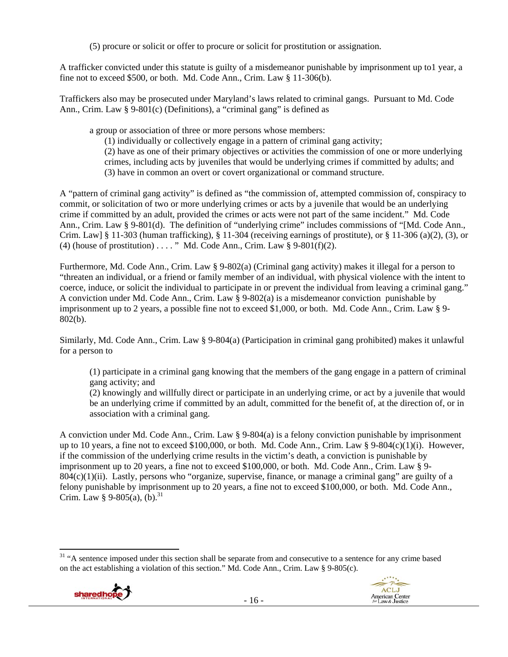(5) procure or solicit or offer to procure or solicit for prostitution or assignation.

A trafficker convicted under this statute is guilty of a misdemeanor punishable by imprisonment up to1 year, a fine not to exceed \$500, or both. Md. Code Ann., Crim. Law § 11-306(b).

Traffickers also may be prosecuted under Maryland's laws related to criminal gangs. Pursuant to Md. Code Ann., Crim. Law § 9-801(c) (Definitions), a "criminal gang" is defined as

a group or association of three or more persons whose members:

(1) individually or collectively engage in a pattern of criminal gang activity;

(2) have as one of their primary objectives or activities the commission of one or more underlying crimes, including acts by juveniles that would be underlying crimes if committed by adults; and (3) have in common an overt or covert organizational or command structure.

A "pattern of criminal gang activity" is defined as "the commission of, attempted commission of, conspiracy to commit, or solicitation of two or more underlying crimes or acts by a juvenile that would be an underlying crime if committed by an adult, provided the crimes or acts were not part of the same incident." Md. Code Ann., Crim. Law § 9-801(d). The definition of "underlying crime" includes commissions of "[Md. Code Ann., Crim. Law]  $\S 11-303$  (human trafficking),  $\S 11-304$  (receiving earnings of prostitute), or  $\S 11-306$  (a)(2), (3), or (4) (house of prostitution) ...." Md. Code Ann., Crim. Law  $\S$  9-801(f)(2).

Furthermore, Md. Code Ann., Crim. Law § 9-802(a) (Criminal gang activity) makes it illegal for a person to "threaten an individual, or a friend or family member of an individual, with physical violence with the intent to coerce, induce, or solicit the individual to participate in or prevent the individual from leaving a criminal gang." A conviction under Md. Code Ann., Crim. Law § 9-802(a) is a misdemeanor conviction punishable by imprisonment up to 2 years, a possible fine not to exceed \$1,000, or both. Md. Code Ann., Crim. Law § 9- 802(b).

Similarly, Md. Code Ann., Crim. Law § 9-804(a) (Participation in criminal gang prohibited) makes it unlawful for a person to

(1) participate in a criminal gang knowing that the members of the gang engage in a pattern of criminal gang activity; and

(2) knowingly and willfully direct or participate in an underlying crime, or act by a juvenile that would be an underlying crime if committed by an adult, committed for the benefit of, at the direction of, or in association with a criminal gang.

A conviction under Md. Code Ann., Crim. Law § 9-804(a) is a felony conviction punishable by imprisonment up to 10 years, a fine not to exceed \$100,000, or both. Md. Code Ann., Crim. Law § 9-804(c)(1)(i). However, if the commission of the underlying crime results in the victim's death, a conviction is punishable by imprisonment up to 20 years, a fine not to exceed \$100,000, or both. Md. Code Ann., Crim. Law § 9-  $804(c)(1)(ii)$ . Lastly, persons who "organize, supervise, finance, or manage a criminal gang" are guilty of a felony punishable by imprisonment up to 20 years, a fine not to exceed \$100,000, or both. Md. Code Ann., Crim. Law § 9-805(a),  $(b)$ .<sup>31</sup>

 $-16-$ 



ACLJ

American Center<br>for Law & Justice

 <sup>31</sup> "A sentence imposed under this section shall be separate from and consecutive to a sentence for any crime based on the act establishing a violation of this section." Md. Code Ann., Crim. Law § 9-805(c).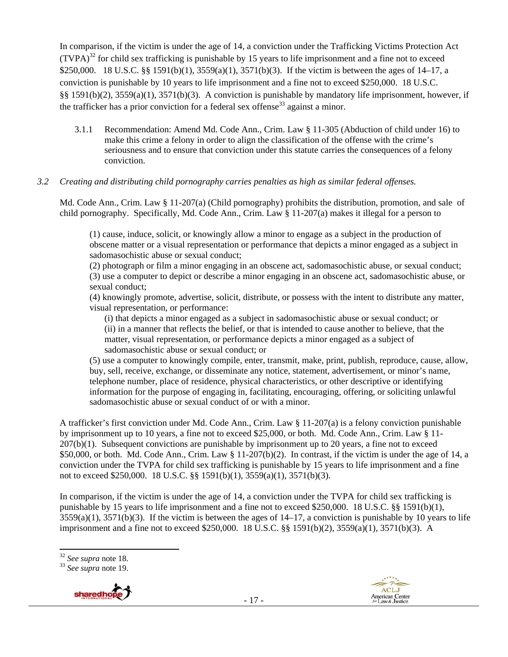In comparison, if the victim is under the age of 14, a conviction under the Trafficking Victims Protection Act  $(TVPA)<sup>32</sup>$  for child sex trafficking is punishable by 15 years to life imprisonment and a fine not to exceed \$250,000. 18 U.S.C. §§ 1591(b)(1), 3559(a)(1), 3571(b)(3). If the victim is between the ages of 14–17, a conviction is punishable by 10 years to life imprisonment and a fine not to exceed \$250,000. 18 U.S.C. §§ 1591(b)(2), 3559(a)(1), 3571(b)(3). A conviction is punishable by mandatory life imprisonment, however, if the trafficker has a prior conviction for a federal sex offense<sup>33</sup> against a minor.

3.1.1 Recommendation: Amend Md. Code Ann., Crim. Law § 11-305 (Abduction of child under 16) to make this crime a felony in order to align the classification of the offense with the crime's seriousness and to ensure that conviction under this statute carries the consequences of a felony conviction.

#### *3.2 Creating and distributing child pornography carries penalties as high as similar federal offenses.*

Md. Code Ann., Crim. Law § 11-207(a) (Child pornography) prohibits the distribution, promotion, and sale of child pornography. Specifically, Md. Code Ann., Crim. Law § 11-207(a) makes it illegal for a person to

(1) cause, induce, solicit, or knowingly allow a minor to engage as a subject in the production of obscene matter or a visual representation or performance that depicts a minor engaged as a subject in sadomasochistic abuse or sexual conduct;

(2) photograph or film a minor engaging in an obscene act, sadomasochistic abuse, or sexual conduct; (3) use a computer to depict or describe a minor engaging in an obscene act, sadomasochistic abuse, or sexual conduct;

(4) knowingly promote, advertise, solicit, distribute, or possess with the intent to distribute any matter, visual representation, or performance:

(i) that depicts a minor engaged as a subject in sadomasochistic abuse or sexual conduct; or (ii) in a manner that reflects the belief, or that is intended to cause another to believe, that the matter, visual representation, or performance depicts a minor engaged as a subject of sadomasochistic abuse or sexual conduct; or

(5) use a computer to knowingly compile, enter, transmit, make, print, publish, reproduce, cause, allow, buy, sell, receive, exchange, or disseminate any notice, statement, advertisement, or minor's name, telephone number, place of residence, physical characteristics, or other descriptive or identifying information for the purpose of engaging in, facilitating, encouraging, offering, or soliciting unlawful sadomasochistic abuse or sexual conduct of or with a minor.

A trafficker's first conviction under Md. Code Ann., Crim. Law § 11-207(a) is a felony conviction punishable by imprisonment up to 10 years, a fine not to exceed \$25,000, or both. Md. Code Ann., Crim. Law § 11- 207(b)(1). Subsequent convictions are punishable by imprisonment up to 20 years, a fine not to exceed \$50,000, or both. Md. Code Ann., Crim. Law  $\S 11-207(b)(2)$ . In contrast, if the victim is under the age of 14, a conviction under the TVPA for child sex trafficking is punishable by 15 years to life imprisonment and a fine not to exceed \$250,000. 18 U.S.C. §§ 1591(b)(1), 3559(a)(1), 3571(b)(3).

In comparison, if the victim is under the age of 14, a conviction under the TVPA for child sex trafficking is punishable by 15 years to life imprisonment and a fine not to exceed \$250,000. 18 U.S.C. §§ 1591(b)(1),  $3559(a)(1)$ ,  $3571(b)(3)$ . If the victim is between the ages of  $14-17$ , a conviction is punishable by 10 years to life imprisonment and a fine not to exceed \$250,000. 18 U.S.C. §§ 1591(b)(2), 3559(a)(1), 3571(b)(3). A

<sup>32</sup> *See supra* note 18. 33 *See supra* note 19.





 $32$  See supra note 18.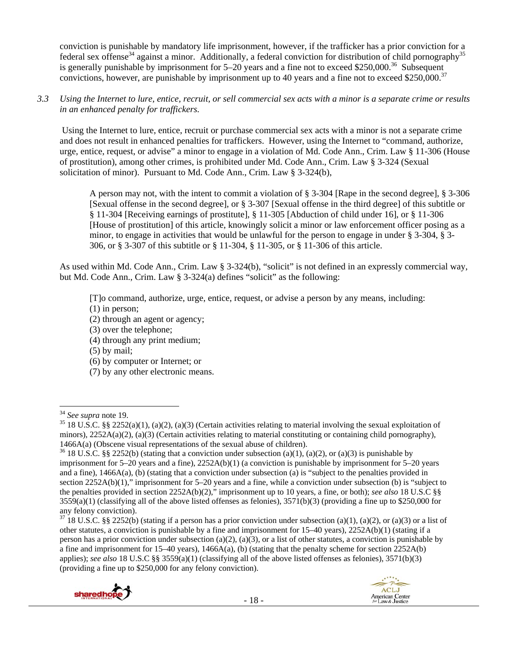conviction is punishable by mandatory life imprisonment, however, if the trafficker has a prior conviction for a federal sex offense<sup>34</sup> against a minor. Additionally, a federal conviction for distribution of child pornography<sup>35</sup> is generally punishable by imprisonment for  $5-20$  years and a fine not to exceed \$250,000.<sup>36</sup> Subsequent convictions, however, are punishable by imprisonment up to 40 years and a fine not to exceed \$250,000.<sup>37</sup>

*3.3 Using the Internet to lure, entice, recruit, or sell commercial sex acts with a minor is a separate crime or results in an enhanced penalty for traffickers.* 

 Using the Internet to lure, entice, recruit or purchase commercial sex acts with a minor is not a separate crime and does not result in enhanced penalties for traffickers. However, using the Internet to "command, authorize, urge, entice, request, or advise" a minor to engage in a violation of Md. Code Ann., Crim. Law § 11-306 (House of prostitution), among other crimes, is prohibited under Md. Code Ann., Crim. Law § 3-324 (Sexual solicitation of minor). Pursuant to Md. Code Ann., Crim. Law § 3-324(b),

A person may not, with the intent to commit a violation of § 3-304 [Rape in the second degree], § 3-306 [Sexual offense in the second degree], or § 3-307 [Sexual offense in the third degree] of this subtitle or § 11-304 [Receiving earnings of prostitute], § 11-305 [Abduction of child under 16], or § 11-306 [House of prostitution] of this article, knowingly solicit a minor or law enforcement officer posing as a minor, to engage in activities that would be unlawful for the person to engage in under § 3-304, § 3- 306, or § 3-307 of this subtitle or § 11-304, § 11-305, or § 11-306 of this article.

As used within Md. Code Ann., Crim. Law § 3-324(b), "solicit" is not defined in an expressly commercial way, but Md. Code Ann., Crim. Law § 3-324(a) defines "solicit" as the following:

[T]o command, authorize, urge, entice, request, or advise a person by any means, including:

- (1) in person;
- (2) through an agent or agency;
- (3) over the telephone;
- (4) through any print medium;
- (5) by mail;
- (6) by computer or Internet; or
- (7) by any other electronic means.

 $37\overline{18}$  U.S.C. §§ 2252(b) (stating if a person has a prior conviction under subsection (a)(1), (a)(2), or (a)(3) or a list of other statutes, a conviction is punishable by a fine and imprisonment for 15–40 years), 2252A(b)(1) (stating if a person has a prior conviction under subsection (a)(2), (a)(3), or a list of other statutes, a conviction is punishable by a fine and imprisonment for  $15-40$  years),  $1466A(a)$ , (b) (stating that the penalty scheme for section  $2252A(b)$ applies); *see also* 18 U.S.C §§ 3559(a)(1) (classifying all of the above listed offenses as felonies), 3571(b)(3) (providing a fine up to \$250,000 for any felony conviction).





<sup>&</sup>lt;sup>34</sup> *See supra* note 19.<br><sup>35</sup> 18 U.S.C. §§ 2252(a)(1), (a)(2), (a)(3) (Certain activities relating to material involving the sexual exploitation of minors),  $2252A(a)(2)$ ,  $(a)(3)$  (Certain activities relating to material constituting or containing child pornography), 1466A(a) (Obscene visual representations of the sexual abuse of children).<br><sup>36</sup> 18 U.S.C. §§ 2252(b) (stating that a conviction under subsection (a)(1), (a)(2), or (a)(3) is punishable by

imprisonment for 5–20 years and a fine), 2252A(b)(1) (a conviction is punishable by imprisonment for 5–20 years and a fine), 1466A(a), (b) (stating that a conviction under subsection (a) is "subject to the penalties provided in section 2252A(b)(1)," imprisonment for 5–20 years and a fine, while a conviction under subsection (b) is "subject to the penalties provided in section 2252A(b)(2)," imprisonment up to 10 years, a fine, or both); *see also* 18 U.S.C §§  $3559(a)(1)$  (classifying all of the above listed offenses as felonies),  $3571(b)(3)$  (providing a fine up to \$250,000 for any felony conviction).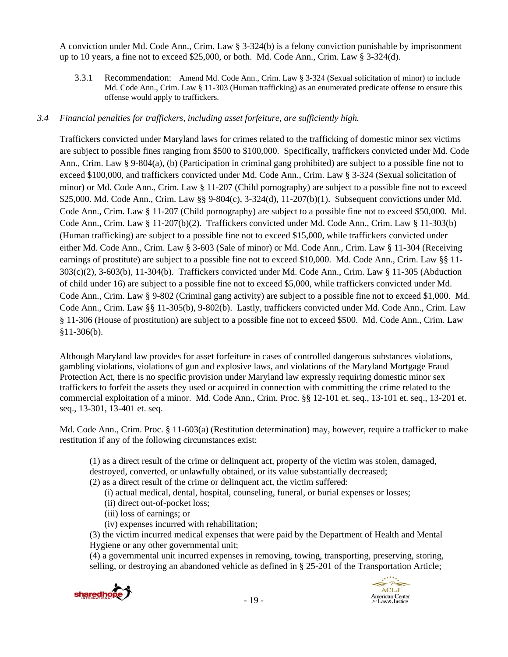A conviction under Md. Code Ann., Crim. Law § 3-324(b) is a felony conviction punishable by imprisonment up to 10 years, a fine not to exceed \$25,000, or both. Md. Code Ann., Crim. Law § 3-324(d).

3.3.1 Recommendation: Amend Md. Code Ann., Crim. Law § 3-324 (Sexual solicitation of minor) to include Md. Code Ann., Crim. Law § 11-303 (Human trafficking) as an enumerated predicate offense to ensure this offense would apply to traffickers.

# *3.4 Financial penalties for traffickers, including asset forfeiture, are sufficiently high.*

Traffickers convicted under Maryland laws for crimes related to the trafficking of domestic minor sex victims are subject to possible fines ranging from \$500 to \$100,000. Specifically, traffickers convicted under Md. Code Ann., Crim. Law § 9-804(a), (b) (Participation in criminal gang prohibited) are subject to a possible fine not to exceed \$100,000, and traffickers convicted under Md. Code Ann., Crim. Law § 3-324 (Sexual solicitation of minor) or Md. Code Ann., Crim. Law § 11-207 (Child pornography) are subject to a possible fine not to exceed \$25,000. Md. Code Ann., Crim. Law §§ 9-804(c), 3-324(d), 11-207(b)(1). Subsequent convictions under Md. Code Ann., Crim. Law § 11-207 (Child pornography) are subject to a possible fine not to exceed \$50,000. Md. Code Ann., Crim. Law § 11-207(b)(2). Traffickers convicted under Md. Code Ann., Crim. Law § 11-303(b) (Human trafficking) are subject to a possible fine not to exceed \$15,000, while traffickers convicted under either Md. Code Ann., Crim. Law § 3-603 (Sale of minor) or Md. Code Ann., Crim. Law § 11-304 (Receiving earnings of prostitute) are subject to a possible fine not to exceed \$10,000. Md. Code Ann., Crim. Law §§ 11- 303(c)(2), 3-603(b), 11-304(b). Traffickers convicted under Md. Code Ann., Crim. Law § 11-305 (Abduction of child under 16) are subject to a possible fine not to exceed \$5,000, while traffickers convicted under Md. Code Ann., Crim. Law § 9-802 (Criminal gang activity) are subject to a possible fine not to exceed \$1,000. Md. Code Ann., Crim. Law §§ 11-305(b), 9-802(b). Lastly, traffickers convicted under Md. Code Ann., Crim. Law § 11-306 (House of prostitution) are subject to a possible fine not to exceed \$500. Md. Code Ann., Crim. Law §11-306(b).

Although Maryland law provides for asset forfeiture in cases of controlled dangerous substances violations, gambling violations, violations of gun and explosive laws, and violations of the Maryland Mortgage Fraud Protection Act, there is no specific provision under Maryland law expressly requiring domestic minor sex traffickers to forfeit the assets they used or acquired in connection with committing the crime related to the commercial exploitation of a minor. Md. Code Ann., Crim. Proc. §§ 12-101 et. seq., 13-101 et. seq., 13-201 et. seq., 13-301, 13-401 et. seq.

Md. Code Ann., Crim. Proc. § 11-603(a) (Restitution determination) may, however, require a trafficker to make restitution if any of the following circumstances exist:

(1) as a direct result of the crime or delinquent act, property of the victim was stolen, damaged, destroyed, converted, or unlawfully obtained, or its value substantially decreased;

- (2) as a direct result of the crime or delinquent act, the victim suffered:
	- (i) actual medical, dental, hospital, counseling, funeral, or burial expenses or losses;
	- (ii) direct out-of-pocket loss;
	- (iii) loss of earnings; or
	- (iv) expenses incurred with rehabilitation;

(3) the victim incurred medical expenses that were paid by the Department of Health and Mental Hygiene or any other governmental unit;

(4) a governmental unit incurred expenses in removing, towing, transporting, preserving, storing, selling, or destroying an abandoned vehicle as defined in § 25-201 of the Transportation Article;

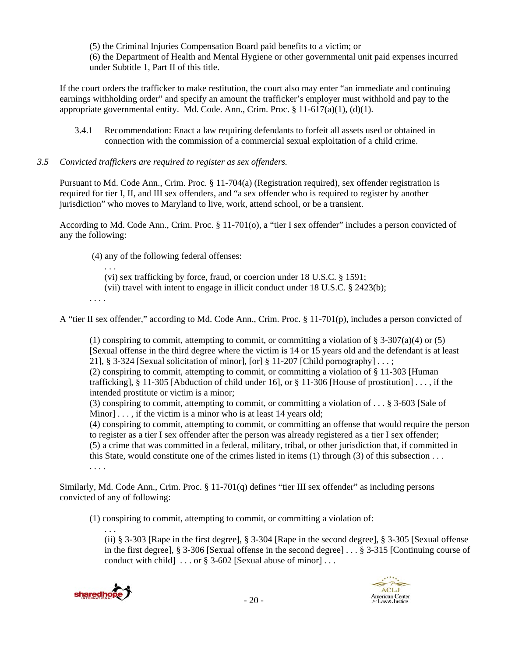(5) the Criminal Injuries Compensation Board paid benefits to a victim; or (6) the Department of Health and Mental Hygiene or other governmental unit paid expenses incurred under Subtitle 1, Part II of this title.

If the court orders the trafficker to make restitution, the court also may enter "an immediate and continuing earnings withholding order" and specify an amount the trafficker's employer must withhold and pay to the appropriate governmental entity. Md. Code. Ann., Crim. Proc.  $\S 11-617(a)(1)$ , (d)(1).

3.4.1 Recommendation: Enact a law requiring defendants to forfeit all assets used or obtained in connection with the commission of a commercial sexual exploitation of a child crime.

#### *3.5 Convicted traffickers are required to register as sex offenders.*

Pursuant to Md. Code Ann., Crim. Proc. § 11-704(a) (Registration required), sex offender registration is required for tier I, II, and III sex offenders, and "a sex offender who is required to register by another jurisdiction" who moves to Maryland to live, work, attend school, or be a transient.

According to Md. Code Ann., Crim. Proc. § 11-701(o), a "tier I sex offender" includes a person convicted of any the following:

(4) any of the following federal offenses:

(vi) sex trafficking by force, fraud, or coercion under 18 U.S.C. § 1591;

(vii) travel with intent to engage in illicit conduct under 18 U.S.C. § 2423(b);

. . . .

. . .

A "tier II sex offender," according to Md. Code Ann., Crim. Proc. § 11-701(p), includes a person convicted of

(1) conspiring to commit, attempting to commit, or committing a violation of  $\S 3-307(a)(4)$  or (5) [Sexual offense in the third degree where the victim is 14 or 15 years old and the defendant is at least 21], § 3-324 [Sexual solicitation of minor], [or] § 11-207 [Child pornography]  $\dots$ ; (2) conspiring to commit, attempting to commit, or committing a violation of § 11-303 [Human trafficking], § 11-305 [Abduction of child under 16], or § 11-306 [House of prostitution]  $\dots$ , if the intended prostitute or victim is a minor;

(3) conspiring to commit, attempting to commit, or committing a violation of . . . § 3-603 [Sale of Minor]  $\ldots$ , if the victim is a minor who is at least 14 years old;

(4) conspiring to commit, attempting to commit, or committing an offense that would require the person to register as a tier I sex offender after the person was already registered as a tier I sex offender; (5) a crime that was committed in a federal, military, tribal, or other jurisdiction that, if committed in this State, would constitute one of the crimes listed in items (1) through (3) of this subsection . . . . . . .

Similarly, Md. Code Ann., Crim. Proc. § 11-701(q) defines "tier III sex offender" as including persons convicted of any of following:

(1) conspiring to commit, attempting to commit, or committing a violation of:

. . . (ii) § 3-303 [Rape in the first degree], § 3-304 [Rape in the second degree], § 3-305 [Sexual offense in the first degree], § 3-306 [Sexual offense in the second degree] . . . § 3-315 [Continuing course of conduct with child]  $\ldots$  or § 3-602 [Sexual abuse of minor]...



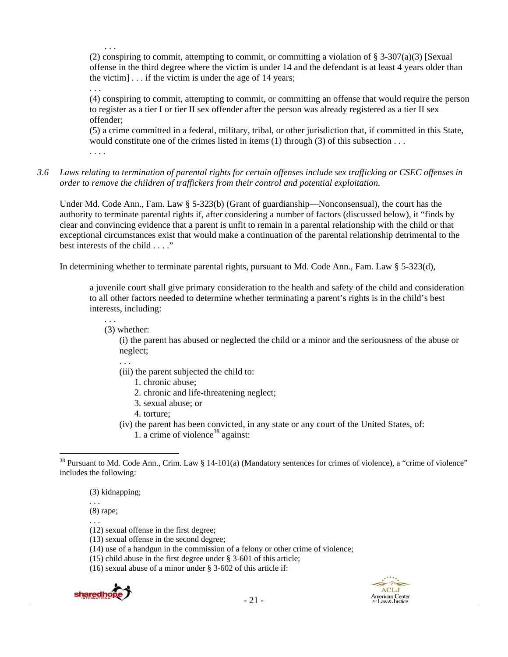(2) conspiring to commit, attempting to commit, or committing a violation of  $\S$  3-307(a)(3) [Sexual offense in the third degree where the victim is under 14 and the defendant is at least 4 years older than the victim]  $\ldots$  if the victim is under the age of 14 years;

. . .

. . .

(4) conspiring to commit, attempting to commit, or committing an offense that would require the person to register as a tier I or tier II sex offender after the person was already registered as a tier II sex offender;

(5) a crime committed in a federal, military, tribal, or other jurisdiction that, if committed in this State, would constitute one of the crimes listed in items (1) through (3) of this subsection . . .

. . . .

*3.6 Laws relating to termination of parental rights for certain offenses include sex trafficking or CSEC offenses in order to remove the children of traffickers from their control and potential exploitation.*

Under Md. Code Ann., Fam. Law § 5-323(b) (Grant of guardianship—Nonconsensual), the court has the authority to terminate parental rights if, after considering a number of factors (discussed below), it "finds by clear and convincing evidence that a parent is unfit to remain in a parental relationship with the child or that exceptional circumstances exist that would make a continuation of the parental relationship detrimental to the best interests of the child . . . ."

In determining whether to terminate parental rights, pursuant to Md. Code Ann., Fam. Law § 5-323(d),

a juvenile court shall give primary consideration to the health and safety of the child and consideration to all other factors needed to determine whether terminating a parent's rights is in the child's best interests, including:

. . . (3) whether:

> (i) the parent has abused or neglected the child or a minor and the seriousness of the abuse or neglect;

. . .

- (iii) the parent subjected the child to:
	- 1. chronic abuse;
	- 2. chronic and life-threatening neglect;
	- 3. sexual abuse; or
	- 4. torture;
- (iv) the parent has been convicted, in any state or any court of the United States, of: 1. a crime of violence<sup>38</sup> against:

(3) kidnapping;

. . . (8) rape;

. . .

- (12) sexual offense in the first degree;
- (13) sexual offense in the second degree;
- (14) use of a handgun in the commission of a felony or other crime of violence;
- (15) child abuse in the first degree under § 3-601 of this article;
- (16) sexual abuse of a minor under § 3-602 of this article if:





 $38$  Pursuant to Md. Code Ann., Crim. Law § 14-101(a) (Mandatory sentences for crimes of violence), a "crime of violence" includes the following: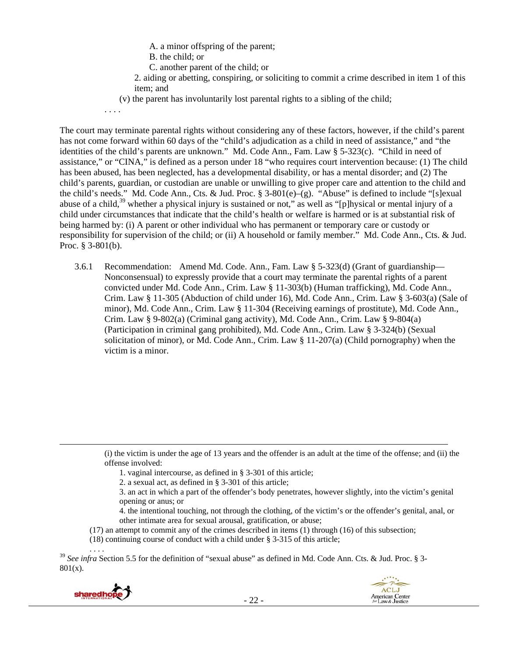- A. a minor offspring of the parent;
- B. the child; or
- C. another parent of the child; or
- 2. aiding or abetting, conspiring, or soliciting to commit a crime described in item 1 of this item; and
- (v) the parent has involuntarily lost parental rights to a sibling of the child;

. . . .

The court may terminate parental rights without considering any of these factors, however, if the child's parent has not come forward within 60 days of the "child's adjudication as a child in need of assistance," and "the identities of the child's parents are unknown." Md. Code Ann., Fam. Law § 5-323(c). "Child in need of assistance," or "CINA," is defined as a person under 18 "who requires court intervention because: (1) The child has been abused, has been neglected, has a developmental disability, or has a mental disorder; and (2) The child's parents, guardian, or custodian are unable or unwilling to give proper care and attention to the child and the child's needs." Md. Code Ann., Cts. & Jud. Proc. § 3-801(e)–(g). "Abuse" is defined to include "[s]exual abuse of a child,<sup>39</sup> whether a physical injury is sustained or not," as well as "[p]hysical or mental injury of a child under circumstances that indicate that the child's health or welfare is harmed or is at substantial risk of being harmed by: (i) A parent or other individual who has permanent or temporary care or custody or responsibility for supervision of the child; or (ii) A household or family member." Md. Code Ann., Cts. & Jud. Proc. § 3-801(b).

3.6.1 Recommendation: Amend Md. Code. Ann., Fam. Law § 5-323(d) (Grant of guardianship— Nonconsensual) to expressly provide that a court may terminate the parental rights of a parent convicted under Md. Code Ann., Crim. Law § 11-303(b) (Human trafficking), Md. Code Ann., Crim. Law § 11-305 (Abduction of child under 16), Md. Code Ann., Crim. Law § 3-603(a) (Sale of minor), Md. Code Ann., Crim. Law § 11-304 (Receiving earnings of prostitute), Md. Code Ann., Crim. Law  $\S 9-802(a)$  (Criminal gang activity), Md. Code Ann., Crim. Law  $\S 9-804(a)$ (Participation in criminal gang prohibited), Md. Code Ann., Crim. Law § 3-324(b) (Sexual solicitation of minor), or Md. Code Ann., Crim. Law § 11-207(a) (Child pornography) when the victim is a minor.

(i) the victim is under the age of 13 years and the offender is an adult at the time of the offense; and (ii) the offense involved:

- 1. vaginal intercourse, as defined in § 3-301 of this article;
- 2. a sexual act, as defined in § 3-301 of this article;
- 3. an act in which a part of the offender's body penetrates, however slightly, into the victim's genital opening or anus; or
- 4. the intentional touching, not through the clothing, of the victim's or the offender's genital, anal, or other intimate area for sexual arousal, gratification, or abuse;
- (17) an attempt to commit any of the crimes described in items (1) through (16) of this subsection;

<u> 1989 - Johann Stein, marwolaethau a gweledydd a ganrad y ganrad y ganrad y ganrad y ganrad y ganrad y ganrad</u>

(18) continuing course of conduct with a child under § 3-315 of this article;

<sup>39</sup> *See infra Section 5.5 for the definition of "sexual abuse" as defined in Md. Code Ann. Cts. & Jud. Proc.* § 3-801(x).



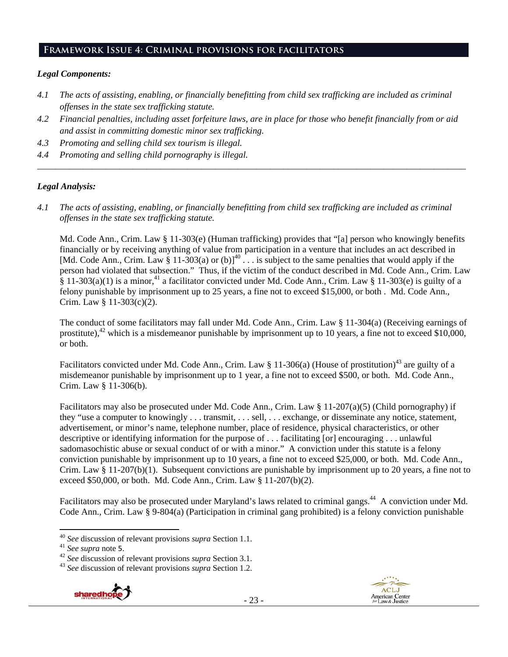# **Framework Issue 4: Criminal provisions for facilitators**

#### *Legal Components:*

- *4.1 The acts of assisting, enabling, or financially benefitting from child sex trafficking are included as criminal offenses in the state sex trafficking statute.*
- *4.2 Financial penalties, including asset forfeiture laws, are in place for those who benefit financially from or aid and assist in committing domestic minor sex trafficking.*

*\_\_\_\_\_\_\_\_\_\_\_\_\_\_\_\_\_\_\_\_\_\_\_\_\_\_\_\_\_\_\_\_\_\_\_\_\_\_\_\_\_\_\_\_\_\_\_\_\_\_\_\_\_\_\_\_\_\_\_\_\_\_\_\_\_\_\_\_\_\_\_\_\_\_\_\_\_\_\_\_\_\_\_\_\_\_\_\_\_\_\_\_\_\_* 

- *4.3 Promoting and selling child sex tourism is illegal.*
- *4.4 Promoting and selling child pornography is illegal.*

#### *Legal Analysis:*

*4.1 The acts of assisting, enabling, or financially benefitting from child sex trafficking are included as criminal offenses in the state sex trafficking statute.*

Md. Code Ann., Crim. Law § 11-303(e) (Human trafficking) provides that "[a] person who knowingly benefits financially or by receiving anything of value from participation in a venture that includes an act described in [Md. Code Ann., Crim. Law § 11-303(a) or (b)]<sup>40</sup>  $\ldots$  is subject to the same penalties that would apply if the person had violated that subsection." Thus, if the victim of the conduct described in Md. Code Ann., Crim. Law  $\frac{2}{3}$  11-303(a)(1) is a minor,<sup>41</sup> a facilitator convicted under Md. Code Ann., Crim. Law  $\frac{2}{3}$  11-303(e) is guilty of a felony punishable by imprisonment up to 25 years, a fine not to exceed \$15,000, or both . Md. Code Ann., Crim. Law § 11-303(c)(2).

The conduct of some facilitators may fall under Md. Code Ann., Crim. Law § 11-304(a) (Receiving earnings of prostitute), $42$  which is a misdemeanor punishable by imprisonment up to 10 years, a fine not to exceed \$10,000, or both.

Facilitators convicted under Md. Code Ann., Crim. Law § 11-306(a) (House of prostitution)<sup>43</sup> are guilty of a misdemeanor punishable by imprisonment up to 1 year, a fine not to exceed \$500, or both. Md. Code Ann., Crim. Law § 11-306(b).

Facilitators may also be prosecuted under Md. Code Ann., Crim. Law § 11-207(a)(5) (Child pornography) if they "use a computer to knowingly . . . transmit, . . . sell, . . . exchange, or disseminate any notice, statement, advertisement, or minor's name, telephone number, place of residence, physical characteristics, or other descriptive or identifying information for the purpose of . . . facilitating [or] encouraging . . . unlawful sadomasochistic abuse or sexual conduct of or with a minor." A conviction under this statute is a felony conviction punishable by imprisonment up to 10 years, a fine not to exceed \$25,000, or both. Md. Code Ann., Crim. Law § 11-207(b)(1). Subsequent convictions are punishable by imprisonment up to 20 years, a fine not to exceed \$50,000, or both. Md. Code Ann., Crim. Law § 11-207(b)(2).

Facilitators may also be prosecuted under Maryland's laws related to criminal gangs.<sup>44</sup> A conviction under Md. Code Ann., Crim. Law  $\frac{5}{9}$ -804(a) (Participation in criminal gang prohibited) is a felony conviction punishable





<sup>&</sup>lt;sup>40</sup> See discussion of relevant provisions *supra* Section 1.1.<br><sup>41</sup> See supra note 5.<br><sup>42</sup> See discussion of relevant provisions *supra* Section 3.1.<br><sup>43</sup> See discussion of relevant provisions *supra* Section 1.2.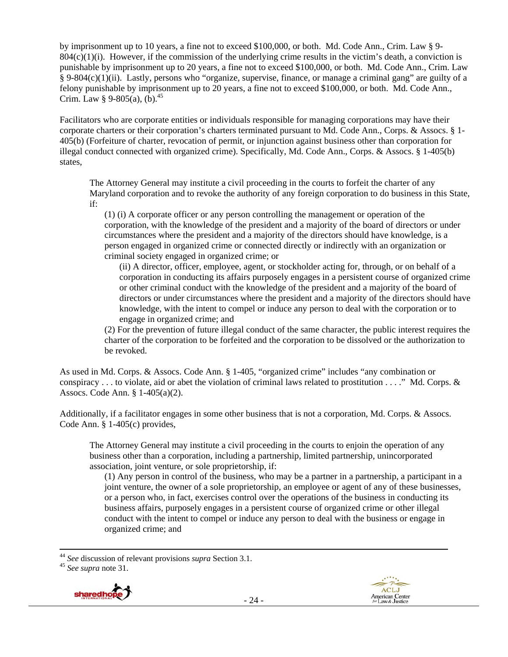by imprisonment up to 10 years, a fine not to exceed \$100,000, or both. Md. Code Ann., Crim. Law § 9-  $804(c)(1)(i)$ . However, if the commission of the underlying crime results in the victim's death, a conviction is punishable by imprisonment up to 20 years, a fine not to exceed \$100,000, or both. Md. Code Ann., Crim. Law § 9-804(c)(1)(ii). Lastly, persons who "organize, supervise, finance, or manage a criminal gang" are guilty of a felony punishable by imprisonment up to 20 years, a fine not to exceed \$100,000, or both. Md. Code Ann., Crim. Law § 9-805(a),  $(b)$ .<sup>45</sup>

Facilitators who are corporate entities or individuals responsible for managing corporations may have their corporate charters or their corporation's charters terminated pursuant to Md. Code Ann., Corps. & Assocs. § 1- 405(b) (Forfeiture of charter, revocation of permit, or injunction against business other than corporation for illegal conduct connected with organized crime). Specifically, Md. Code Ann., Corps. & Assocs. § 1-405(b) states,

The Attorney General may institute a civil proceeding in the courts to forfeit the charter of any Maryland corporation and to revoke the authority of any foreign corporation to do business in this State, if:

(1) (i) A corporate officer or any person controlling the management or operation of the corporation, with the knowledge of the president and a majority of the board of directors or under circumstances where the president and a majority of the directors should have knowledge, is a person engaged in organized crime or connected directly or indirectly with an organization or criminal society engaged in organized crime; or

(ii) A director, officer, employee, agent, or stockholder acting for, through, or on behalf of a corporation in conducting its affairs purposely engages in a persistent course of organized crime or other criminal conduct with the knowledge of the president and a majority of the board of directors or under circumstances where the president and a majority of the directors should have knowledge, with the intent to compel or induce any person to deal with the corporation or to engage in organized crime; and

(2) For the prevention of future illegal conduct of the same character, the public interest requires the charter of the corporation to be forfeited and the corporation to be dissolved or the authorization to be revoked.

As used in Md. Corps. & Assocs. Code Ann. § 1-405, "organized crime" includes "any combination or conspiracy  $\dots$  to violate, aid or abet the violation of criminal laws related to prostitution  $\dots$ ." Md. Corps. & Assocs. Code Ann. § 1-405(a)(2).

Additionally, if a facilitator engages in some other business that is not a corporation, Md. Corps. & Assocs. Code Ann. § 1-405(c) provides,

The Attorney General may institute a civil proceeding in the courts to enjoin the operation of any business other than a corporation, including a partnership, limited partnership, unincorporated association, joint venture, or sole proprietorship, if:

(1) Any person in control of the business, who may be a partner in a partnership, a participant in a joint venture, the owner of a sole proprietorship, an employee or agent of any of these businesses, or a person who, in fact, exercises control over the operations of the business in conducting its business affairs, purposely engages in a persistent course of organized crime or other illegal conduct with the intent to compel or induce any person to deal with the business or engage in organized crime; and





 <sup>44</sup> *See* discussion of relevant provisions *supra* Section 3.1. 45 *See supra* note 31.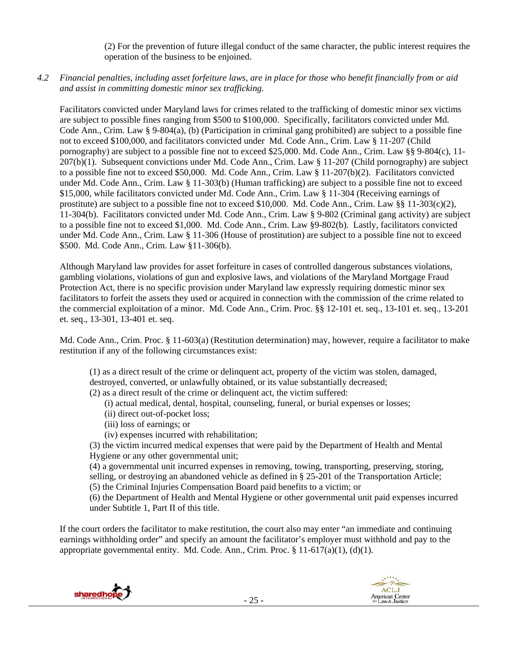(2) For the prevention of future illegal conduct of the same character, the public interest requires the operation of the business to be enjoined.

*4.2 Financial penalties, including asset forfeiture laws, are in place for those who benefit financially from or aid and assist in committing domestic minor sex trafficking.* 

Facilitators convicted under Maryland laws for crimes related to the trafficking of domestic minor sex victims are subject to possible fines ranging from \$500 to \$100,000. Specifically, facilitators convicted under Md. Code Ann., Crim. Law § 9-804(a), (b) (Participation in criminal gang prohibited) are subject to a possible fine not to exceed \$100,000, and facilitators convicted under Md. Code Ann., Crim. Law § 11-207 (Child pornography) are subject to a possible fine not to exceed \$25,000. Md. Code Ann., Crim. Law §§ 9-804(c), 11- 207(b)(1). Subsequent convictions under Md. Code Ann., Crim. Law § 11-207 (Child pornography) are subject to a possible fine not to exceed \$50,000. Md. Code Ann., Crim. Law § 11-207(b)(2). Facilitators convicted under Md. Code Ann., Crim. Law § 11-303(b) (Human trafficking) are subject to a possible fine not to exceed \$15,000, while facilitators convicted under Md. Code Ann., Crim. Law § 11-304 (Receiving earnings of prostitute) are subject to a possible fine not to exceed \$10,000. Md. Code Ann., Crim. Law §§ 11-303(c)(2), 11-304(b). Facilitators convicted under Md. Code Ann., Crim. Law § 9-802 (Criminal gang activity) are subject to a possible fine not to exceed \$1,000. Md. Code Ann., Crim. Law §9-802(b). Lastly, facilitators convicted under Md. Code Ann., Crim. Law § 11-306 (House of prostitution) are subject to a possible fine not to exceed \$500. Md. Code Ann., Crim. Law §11-306(b).

Although Maryland law provides for asset forfeiture in cases of controlled dangerous substances violations, gambling violations, violations of gun and explosive laws, and violations of the Maryland Mortgage Fraud Protection Act, there is no specific provision under Maryland law expressly requiring domestic minor sex facilitators to forfeit the assets they used or acquired in connection with the commission of the crime related to the commercial exploitation of a minor. Md. Code Ann., Crim. Proc. §§ 12-101 et. seq., 13-101 et. seq., 13-201 et. seq., 13-301, 13-401 et. seq.

Md. Code Ann., Crim. Proc. § 11-603(a) (Restitution determination) may, however, require a facilitator to make restitution if any of the following circumstances exist:

(1) as a direct result of the crime or delinquent act, property of the victim was stolen, damaged, destroyed, converted, or unlawfully obtained, or its value substantially decreased;

(2) as a direct result of the crime or delinquent act, the victim suffered:

- (i) actual medical, dental, hospital, counseling, funeral, or burial expenses or losses;
- (ii) direct out-of-pocket loss;
- (iii) loss of earnings; or
- (iv) expenses incurred with rehabilitation;

(3) the victim incurred medical expenses that were paid by the Department of Health and Mental Hygiene or any other governmental unit;

(4) a governmental unit incurred expenses in removing, towing, transporting, preserving, storing, selling, or destroying an abandoned vehicle as defined in § 25-201 of the Transportation Article;

(5) the Criminal Injuries Compensation Board paid benefits to a victim; or

(6) the Department of Health and Mental Hygiene or other governmental unit paid expenses incurred under Subtitle 1, Part II of this title.

If the court orders the facilitator to make restitution, the court also may enter "an immediate and continuing earnings withholding order" and specify an amount the facilitator's employer must withhold and pay to the appropriate governmental entity. Md. Code. Ann., Crim. Proc.  $\S$  11-617(a)(1), (d)(1).



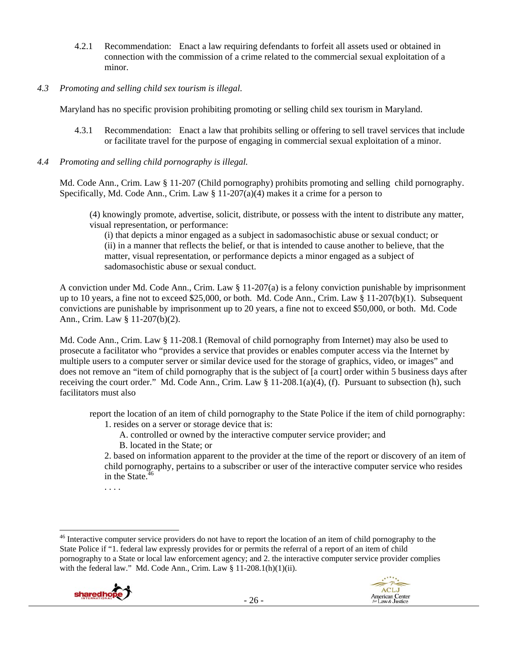- 4.2.1 Recommendation: Enact a law requiring defendants to forfeit all assets used or obtained in connection with the commission of a crime related to the commercial sexual exploitation of a minor.
- *4.3 Promoting and selling child sex tourism is illegal*.

Maryland has no specific provision prohibiting promoting or selling child sex tourism in Maryland.

- 4.3.1 Recommendation: Enact a law that prohibits selling or offering to sell travel services that include or facilitate travel for the purpose of engaging in commercial sexual exploitation of a minor.
- *4.4 Promoting and selling child pornography is illegal.*

Md. Code Ann., Crim. Law § 11-207 (Child pornography) prohibits promoting and selling child pornography. Specifically, Md. Code Ann., Crim. Law  $\S 11{\text -}207(a)(4)$  makes it a crime for a person to

(4) knowingly promote, advertise, solicit, distribute, or possess with the intent to distribute any matter, visual representation, or performance:

(i) that depicts a minor engaged as a subject in sadomasochistic abuse or sexual conduct; or (ii) in a manner that reflects the belief, or that is intended to cause another to believe, that the matter, visual representation, or performance depicts a minor engaged as a subject of sadomasochistic abuse or sexual conduct.

A conviction under Md. Code Ann., Crim. Law § 11-207(a) is a felony conviction punishable by imprisonment up to 10 years, a fine not to exceed \$25,000, or both. Md. Code Ann., Crim. Law § 11-207(b)(1). Subsequent convictions are punishable by imprisonment up to 20 years, a fine not to exceed \$50,000, or both. Md. Code Ann., Crim. Law § 11-207(b)(2).

Md. Code Ann., Crim. Law § 11-208.1 (Removal of child pornography from Internet) may also be used to prosecute a facilitator who "provides a service that provides or enables computer access via the Internet by multiple users to a computer server or similar device used for the storage of graphics, video, or images" and does not remove an "item of child pornography that is the subject of [a court] order within 5 business days after receiving the court order." Md. Code Ann., Crim. Law  $\S 11{\text -}208.1(a)(4)$ , (f). Pursuant to subsection (h), such facilitators must also

report the location of an item of child pornography to the State Police if the item of child pornography: 1. resides on a server or storage device that is:

A. controlled or owned by the interactive computer service provider; and

B. located in the State; or

2. based on information apparent to the provider at the time of the report or discovery of an item of child pornography, pertains to a subscriber or user of the interactive computer service who resides in the State. $46$ 

. . . .

<sup>&</sup>lt;sup>46</sup> Interactive computer service providers do not have to report the location of an item of child pornography to the State Police if "1. federal law expressly provides for or permits the referral of a report of an item of child pornography to a State or local law enforcement agency; and 2. the interactive computer service provider complies with the federal law." Md. Code Ann., Crim. Law § 11-208.1(h)(1)(ii).



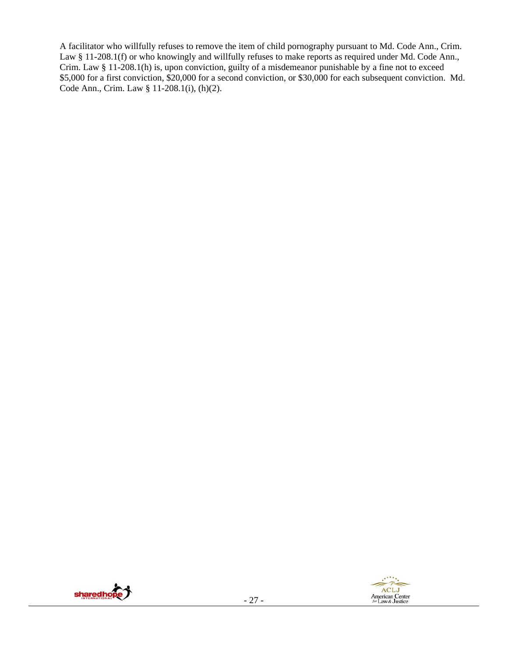A facilitator who willfully refuses to remove the item of child pornography pursuant to Md. Code Ann., Crim. Law § 11-208.1(f) or who knowingly and willfully refuses to make reports as required under Md. Code Ann., Crim. Law § 11-208.1(h) is, upon conviction, guilty of a misdemeanor punishable by a fine not to exceed \$5,000 for a first conviction, \$20,000 for a second conviction, or \$30,000 for each subsequent conviction. Md. Code Ann., Crim. Law § 11-208.1(i), (h)(2).

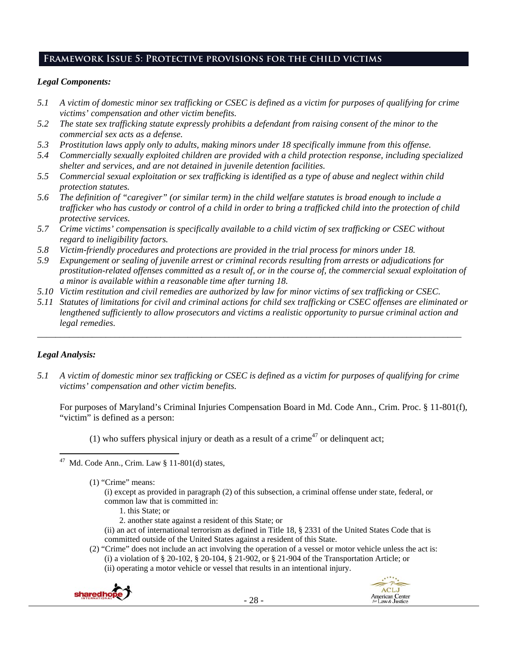# **Framework Issue 5: Protective provisions for the child victims**

# *Legal Components:*

- *5.1 A victim of domestic minor sex trafficking or CSEC is defined as a victim for purposes of qualifying for crime victims' compensation and other victim benefits.*
- *5.2 The state sex trafficking statute expressly prohibits a defendant from raising consent of the minor to the commercial sex acts as a defense.*
- *5.3 Prostitution laws apply only to adults, making minors under 18 specifically immune from this offense.*
- *5.4 Commercially sexually exploited children are provided with a child protection response, including specialized shelter and services, and are not detained in juvenile detention facilities.*
- *5.5 Commercial sexual exploitation or sex trafficking is identified as a type of abuse and neglect within child protection statutes.*
- *5.6 The definition of "caregiver" (or similar term) in the child welfare statutes is broad enough to include a trafficker who has custody or control of a child in order to bring a trafficked child into the protection of child protective services.*
- *5.7 Crime victims' compensation is specifically available to a child victim of sex trafficking or CSEC without regard to ineligibility factors.*
- *5.8 Victim-friendly procedures and protections are provided in the trial process for minors under 18.*
- *5.9 Expungement or sealing of juvenile arrest or criminal records resulting from arrests or adjudications for prostitution-related offenses committed as a result of, or in the course of, the commercial sexual exploitation of a minor is available within a reasonable time after turning 18.*
- *5.10 Victim restitution and civil remedies are authorized by law for minor victims of sex trafficking or CSEC.*
- *5.11 Statutes of limitations for civil and criminal actions for child sex trafficking or CSEC offenses are eliminated or lengthened sufficiently to allow prosecutors and victims a realistic opportunity to pursue criminal action and legal remedies.*

*\_\_\_\_\_\_\_\_\_\_\_\_\_\_\_\_\_\_\_\_\_\_\_\_\_\_\_\_\_\_\_\_\_\_\_\_\_\_\_\_\_\_\_\_\_\_\_\_\_\_\_\_\_\_\_\_\_\_\_\_\_\_\_\_\_\_\_\_\_\_\_\_\_\_\_\_\_\_\_\_\_\_\_\_\_\_\_\_\_\_\_\_\_* 

# *Legal Analysis:*

*5.1 A victim of domestic minor sex trafficking or CSEC is defined as a victim for purposes of qualifying for crime victims' compensation and other victim benefits.* 

For purposes of Maryland's Criminal Injuries Compensation Board in Md. Code Ann., Crim. Proc. § 11-801(f), "victim" is defined as a person:

(1) who suffers physical injury or death as a result of a crime<sup>47</sup> or delinquent act;

- (i) except as provided in paragraph (2) of this subsection, a criminal offense under state, federal, or common law that is committed in:
	- 1. this State; or
	- 2. another state against a resident of this State; or
- (ii) an act of international terrorism as defined in Title 18, § 2331 of the United States Code that is committed outside of the United States against a resident of this State.
- (2) "Crime" does not include an act involving the operation of a vessel or motor vehicle unless the act is: (i) a violation of § 20-102, § 20-104, § 21-902, or § 21-904 of the Transportation Article; or (ii) operating a motor vehicle or vessel that results in an intentional injury.





 <sup>47</sup> Md. Code Ann., Crim. Law  $\S 11-801(d)$  states,

<sup>(1) &</sup>quot;Crime" means: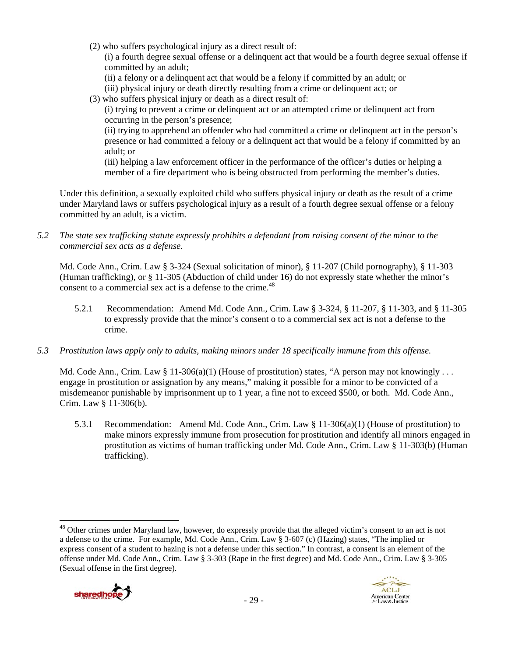(2) who suffers psychological injury as a direct result of:

(i) a fourth degree sexual offense or a delinquent act that would be a fourth degree sexual offense if committed by an adult;

- (ii) a felony or a delinquent act that would be a felony if committed by an adult; or
- (iii) physical injury or death directly resulting from a crime or delinquent act; or
- (3) who suffers physical injury or death as a direct result of:

(i) trying to prevent a crime or delinquent act or an attempted crime or delinquent act from occurring in the person's presence;

(ii) trying to apprehend an offender who had committed a crime or delinquent act in the person's presence or had committed a felony or a delinquent act that would be a felony if committed by an adult; or

(iii) helping a law enforcement officer in the performance of the officer's duties or helping a member of a fire department who is being obstructed from performing the member's duties.

Under this definition, a sexually exploited child who suffers physical injury or death as the result of a crime under Maryland laws or suffers psychological injury as a result of a fourth degree sexual offense or a felony committed by an adult, is a victim.

*5.2 The state sex trafficking statute expressly prohibits a defendant from raising consent of the minor to the commercial sex acts as a defense.* 

Md. Code Ann., Crim. Law § 3-324 (Sexual solicitation of minor), § 11-207 (Child pornography), § 11-303 (Human trafficking), or § 11-305 (Abduction of child under 16) do not expressly state whether the minor's consent to a commercial sex act is a defense to the crime.<sup>48</sup>

- 5.2.1 Recommendation: Amend Md. Code Ann., Crim. Law § 3-324, § 11-207, § 11-303, and § 11-305 to expressly provide that the minor's consent o to a commercial sex act is not a defense to the crime.
- *5.3 Prostitution laws apply only to adults, making minors under 18 specifically immune from this offense.*

Md. Code Ann., Crim. Law § 11-306(a)(1) (House of prostitution) states, "A person may not knowingly . . . engage in prostitution or assignation by any means," making it possible for a minor to be convicted of a misdemeanor punishable by imprisonment up to 1 year, a fine not to exceed \$500, or both. Md. Code Ann., Crim. Law § 11-306(b).

5.3.1 Recommendation: Amend Md. Code Ann., Crim. Law § 11-306(a)(1) (House of prostitution) to make minors expressly immune from prosecution for prostitution and identify all minors engaged in prostitution as victims of human trafficking under Md. Code Ann., Crim. Law § 11-303(b) (Human trafficking).

 <sup>48</sup> Other crimes under Maryland law, however, do expressly provide that the alleged victim's consent to an act is not a defense to the crime. For example, Md. Code Ann., Crim. Law § 3-607 (c) (Hazing) states, "The implied or express consent of a student to hazing is not a defense under this section." In contrast, a consent is an element of the offense under Md. Code Ann., Crim. Law § 3-303 (Rape in the first degree) and Md. Code Ann., Crim. Law § 3-305 (Sexual offense in the first degree).



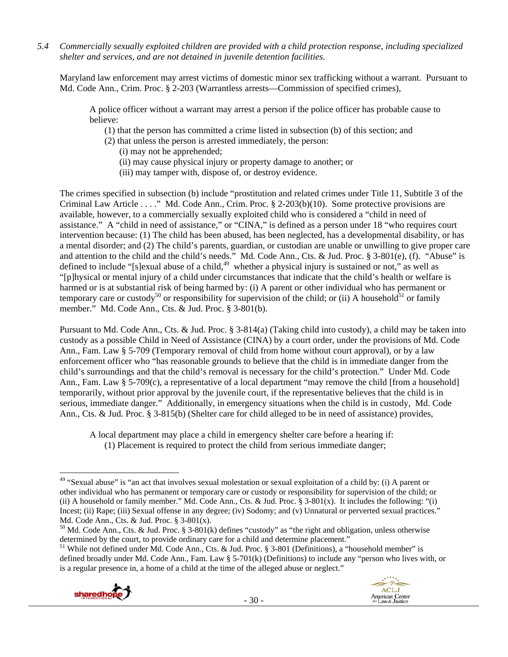*5.4 Commercially sexually exploited children are provided with a child protection response, including specialized shelter and services, and are not detained in juvenile detention facilities.* 

Maryland law enforcement may arrest victims of domestic minor sex trafficking without a warrant. Pursuant to Md. Code Ann., Crim. Proc. § 2-203 (Warrantless arrests—Commission of specified crimes),

A police officer without a warrant may arrest a person if the police officer has probable cause to believe:

- (1) that the person has committed a crime listed in subsection (b) of this section; and
- (2) that unless the person is arrested immediately, the person:
	- (i) may not be apprehended;
	- (ii) may cause physical injury or property damage to another; or
	- (iii) may tamper with, dispose of, or destroy evidence.

The crimes specified in subsection (b) include "prostitution and related crimes under Title 11, Subtitle 3 of the Criminal Law Article . . . ." Md. Code Ann., Crim. Proc. § 2-203(b)(10). Some protective provisions are available, however, to a commercially sexually exploited child who is considered a "child in need of assistance." A "child in need of assistance," or "CINA," is defined as a person under 18 "who requires court intervention because: (1) The child has been abused, has been neglected, has a developmental disability, or has a mental disorder; and (2) The child's parents, guardian, or custodian are unable or unwilling to give proper care and attention to the child and the child's needs." Md. Code Ann., Cts. & Jud. Proc. § 3-801(e), (f). "Abuse" is defined to include "[s]exual abuse of a child,<sup>49</sup> whether a physical injury is sustained or not," as well as "[p]hysical or mental injury of a child under circumstances that indicate that the child's health or welfare is harmed or is at substantial risk of being harmed by: (i) A parent or other individual who has permanent or temporary care or custody<sup>50</sup> or responsibility for supervision of the child; or (ii) A household<sup>51</sup> or family member." Md. Code Ann., Cts. & Jud. Proc. § 3-801(b).

Pursuant to Md. Code Ann., Cts. & Jud. Proc. § 3-814(a) (Taking child into custody), a child may be taken into custody as a possible Child in Need of Assistance (CINA) by a court order, under the provisions of Md. Code Ann., Fam. Law § 5-709 (Temporary removal of child from home without court approval), or by a law enforcement officer who "has reasonable grounds to believe that the child is in immediate danger from the child's surroundings and that the child's removal is necessary for the child's protection." Under Md. Code Ann., Fam. Law § 5-709(c), a representative of a local department "may remove the child [from a household] temporarily, without prior approval by the juvenile court, if the representative believes that the child is in serious, immediate danger." Additionally, in emergency situations when the child is in custody, Md. Code Ann., Cts. & Jud. Proc. § 3-815(b) (Shelter care for child alleged to be in need of assistance) provides,

A local department may place a child in emergency shelter care before a hearing if: (1) Placement is required to protect the child from serious immediate danger;

<sup>&</sup>lt;sup>51</sup> While not defined under Md. Code Ann., Cts. & Jud. Proc. § 3-801 (Definitions), a "household member" is defined broadly under Md. Code Ann., Fam. Law § 5-701(k) (Definitions) to include any "person who lives with, or is a regular presence in, a home of a child at the time of the alleged abuse or neglect."





<sup>&</sup>lt;sup>49</sup> "Sexual abuse" is "an act that involves sexual molestation or sexual exploitation of a child by: (i) A parent or other individual who has permanent or temporary care or custody or responsibility for supervision of the child; or (ii) A household or family member." Md. Code Ann., Cts. & Jud. Proc.  $\S$  3-801(x). It includes the following: "(i) Incest; (ii) Rape; (iii) Sexual offense in any degree; (iv) Sodomy; and (v) Unnatural or perverted sexual practices." Md. Code Ann., Cts. & Jud. Proc. § 3-801(x).

<sup>&</sup>lt;sup>50</sup> Md. Code Ann., Cts. & Jud. Proc. § 3-801(k) defines "custody" as "the right and obligation, unless otherwise determined by the court, to provide ordinary care for a child and determine placement."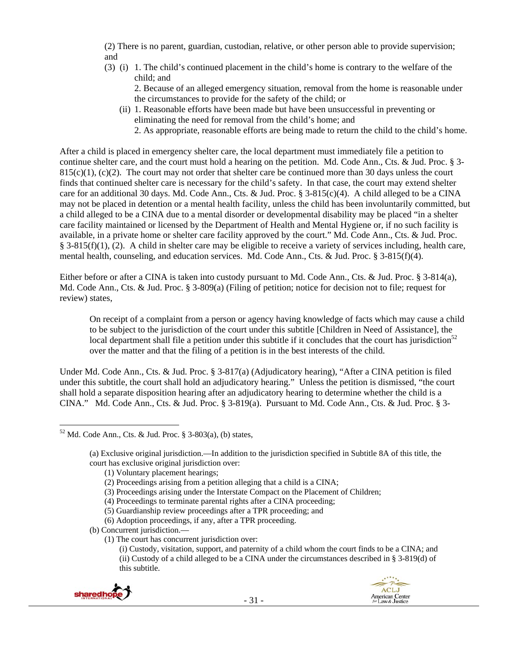(2) There is no parent, guardian, custodian, relative, or other person able to provide supervision; and

(3) (i) 1. The child's continued placement in the child's home is contrary to the welfare of the child; and

2. Because of an alleged emergency situation, removal from the home is reasonable under the circumstances to provide for the safety of the child; or

- (ii) 1. Reasonable efforts have been made but have been unsuccessful in preventing or eliminating the need for removal from the child's home; and
	- 2. As appropriate, reasonable efforts are being made to return the child to the child's home.

After a child is placed in emergency shelter care, the local department must immediately file a petition to continue shelter care, and the court must hold a hearing on the petition. Md. Code Ann., Cts. & Jud. Proc. § 3-  $815(c)(1)$ , (c)(2). The court may not order that shelter care be continued more than 30 days unless the court finds that continued shelter care is necessary for the child's safety. In that case, the court may extend shelter care for an additional 30 days. Md. Code Ann., Cts. & Jud. Proc.  $\S 3-815(c)(4)$ . A child alleged to be a CINA may not be placed in detention or a mental health facility, unless the child has been involuntarily committed, but a child alleged to be a CINA due to a mental disorder or developmental disability may be placed "in a shelter care facility maintained or licensed by the Department of Health and Mental Hygiene or, if no such facility is available, in a private home or shelter care facility approved by the court." Md. Code Ann., Cts. & Jud. Proc. § 3-815(f)(1), (2). A child in shelter care may be eligible to receive a variety of services including, health care, mental health, counseling, and education services. Md. Code Ann., Cts. & Jud. Proc. § 3-815(f)(4).

Either before or after a CINA is taken into custody pursuant to Md. Code Ann., Cts. & Jud. Proc. § 3-814(a), Md. Code Ann., Cts. & Jud. Proc. § 3-809(a) (Filing of petition; notice for decision not to file; request for review) states,

On receipt of a complaint from a person or agency having knowledge of facts which may cause a child to be subject to the jurisdiction of the court under this subtitle [Children in Need of Assistance], the local department shall file a petition under this subtitle if it concludes that the court has jurisdiction<sup>52</sup> over the matter and that the filing of a petition is in the best interests of the child.

Under Md. Code Ann., Cts. & Jud. Proc. § 3-817(a) (Adjudicatory hearing), "After a CINA petition is filed under this subtitle, the court shall hold an adjudicatory hearing." Unless the petition is dismissed, "the court shall hold a separate disposition hearing after an adjudicatory hearing to determine whether the child is a CINA." Md. Code Ann., Cts. & Jud. Proc. § 3-819(a). Pursuant to Md. Code Ann., Cts. & Jud. Proc. § 3-

<sup>(</sup>i) Custody, visitation, support, and paternity of a child whom the court finds to be a CINA; and (ii) Custody of a child alleged to be a CINA under the circumstances described in § 3-819(d) of this subtitle.





 $52$  Md. Code Ann., Cts. & Jud. Proc. § 3-803(a), (b) states,

<sup>(</sup>a) Exclusive original jurisdiction.—In addition to the jurisdiction specified in Subtitle 8A of this title, the court has exclusive original jurisdiction over:

<sup>(1)</sup> Voluntary placement hearings;

<sup>(2)</sup> Proceedings arising from a petition alleging that a child is a CINA;

<sup>(3)</sup> Proceedings arising under the Interstate Compact on the Placement of Children;

<sup>(4)</sup> Proceedings to terminate parental rights after a CINA proceeding;

<sup>(5)</sup> Guardianship review proceedings after a TPR proceeding; and

<sup>(6)</sup> Adoption proceedings, if any, after a TPR proceeding.

<sup>(</sup>b) Concurrent jurisdiction.—

<sup>(1)</sup> The court has concurrent jurisdiction over: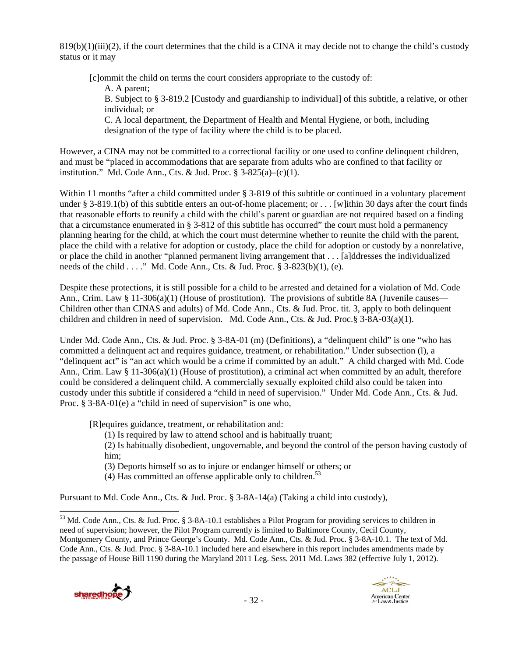$819(b)(1)(iii)(2)$ , if the court determines that the child is a CINA it may decide not to change the child's custody status or it may

[c]ommit the child on terms the court considers appropriate to the custody of:

A. A parent;

B. Subject to § 3-819.2 [Custody and guardianship to individual] of this subtitle, a relative, or other individual; or

C. A local department, the Department of Health and Mental Hygiene, or both, including designation of the type of facility where the child is to be placed.

However, a CINA may not be committed to a correctional facility or one used to confine delinquent children, and must be "placed in accommodations that are separate from adults who are confined to that facility or institution." Md. Code Ann., Cts. & Jud. Proc.  $\S$  3-825(a)–(c)(1).

Within 11 months "after a child committed under § 3-819 of this subtitle or continued in a voluntary placement under § 3-819.1(b) of this subtitle enters an out-of-home placement; or . . . [w]ithin 30 days after the court finds that reasonable efforts to reunify a child with the child's parent or guardian are not required based on a finding that a circumstance enumerated in § 3-812 of this subtitle has occurred" the court must hold a permanency planning hearing for the child, at which the court must determine whether to reunite the child with the parent, place the child with a relative for adoption or custody, place the child for adoption or custody by a nonrelative, or place the child in another "planned permanent living arrangement that . . . [a]ddresses the individualized needs of the child . . . ." Md. Code Ann., Cts. & Jud. Proc. § 3-823(b)(1), (e).

Despite these protections, it is still possible for a child to be arrested and detained for a violation of Md. Code Ann., Crim. Law  $\S 11-306(a)(1)$  (House of prostitution). The provisions of subtitle 8A (Juvenile causes— Children other than CINAS and adults) of Md. Code Ann., Cts. & Jud. Proc. tit. 3, apply to both delinquent children and children in need of supervision. Md. Code Ann., Cts. & Jud. Proc.§ 3-8A-03(a)(1).

Under Md. Code Ann., Cts. & Jud. Proc. § 3-8A-01 (m) (Definitions), a "delinquent child" is one "who has committed a delinquent act and requires guidance, treatment, or rehabilitation." Under subsection (l), a "delinquent act" is "an act which would be a crime if committed by an adult." A child charged with Md. Code Ann., Crim. Law § 11-306(a)(1) (House of prostitution), a criminal act when committed by an adult, therefore could be considered a delinquent child. A commercially sexually exploited child also could be taken into custody under this subtitle if considered a "child in need of supervision." Under Md. Code Ann., Cts. & Jud. Proc. § 3-8A-01(e) a "child in need of supervision" is one who,

[R]equires guidance, treatment, or rehabilitation and:

(1) Is required by law to attend school and is habitually truant;

(2) Is habitually disobedient, ungovernable, and beyond the control of the person having custody of him;

(3) Deports himself so as to injure or endanger himself or others; or

(4) Has committed an offense applicable only to children.<sup>53</sup>

Pursuant to Md. Code Ann., Cts. & Jud. Proc. § 3-8A-14(a) (Taking a child into custody),

<sup>&</sup>lt;sup>53</sup> Md. Code Ann., Cts. & Jud. Proc. § 3-8A-10.1 establishes a Pilot Program for providing services to children in need of supervision; however, the Pilot Program currently is limited to Baltimore County, Cecil County, Montgomery County, and Prince George's County. Md. Code Ann., Cts. & Jud. Proc. § 3-8A-10.1. The text of Md. Code Ann., Cts. & Jud. Proc. § 3-8A-10.1 included here and elsewhere in this report includes amendments made by the passage of House Bill 1190 during the Maryland 2011 Leg. Sess. 2011 Md. Laws 382 (effective July 1, 2012).



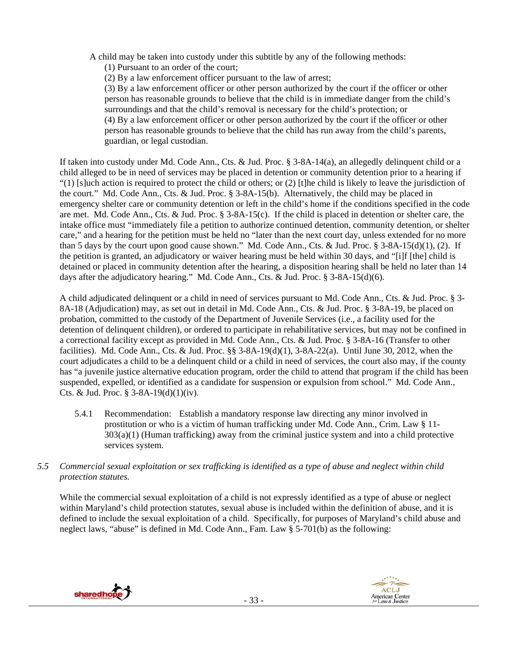A child may be taken into custody under this subtitle by any of the following methods:

(1) Pursuant to an order of the court;

(2) By a law enforcement officer pursuant to the law of arrest;

(3) By a law enforcement officer or other person authorized by the court if the officer or other person has reasonable grounds to believe that the child is in immediate danger from the child's surroundings and that the child's removal is necessary for the child's protection; or (4) By a law enforcement officer or other person authorized by the court if the officer or other person has reasonable grounds to believe that the child has run away from the child's parents, guardian, or legal custodian.

If taken into custody under Md. Code Ann., Cts. & Jud. Proc. § 3-8A-14(a), an allegedly delinquent child or a child alleged to be in need of services may be placed in detention or community detention prior to a hearing if "(1) [s]uch action is required to protect the child or others; or  $(2)$  [t]he child is likely to leave the jurisdiction of the court." Md. Code Ann., Cts. & Jud. Proc. § 3-8A-15(b). Alternatively, the child may be placed in emergency shelter care or community detention or left in the child's home if the conditions specified in the code are met. Md. Code Ann., Cts. & Jud. Proc. § 3-8A-15(c). If the child is placed in detention or shelter care, the intake office must "immediately file a petition to authorize continued detention, community detention, or shelter care," and a hearing for the petition must be held no "later than the next court day, unless extended for no more than 5 days by the court upon good cause shown." Md. Code Ann., Cts. & Jud. Proc. § 3-8A-15(d)(1), (2). If the petition is granted, an adjudicatory or waiver hearing must be held within 30 days, and "[i]f [the] child is detained or placed in community detention after the hearing, a disposition hearing shall be held no later than 14 days after the adjudicatory hearing." Md. Code Ann., Cts. & Jud. Proc. § 3-8A-15(d)(6).

A child adjudicated delinquent or a child in need of services pursuant to Md. Code Ann., Cts. & Jud. Proc. § 3- 8A-18 (Adjudication) may, as set out in detail in Md. Code Ann., Cts. & Jud. Proc. § 3-8A-19, be placed on probation, committed to the custody of the Department of Juvenile Services (i.e., a facility used for the detention of delinquent children), or ordered to participate in rehabilitative services, but may not be confined in a correctional facility except as provided in Md. Code Ann., Cts. & Jud. Proc. § 3-8A-16 (Transfer to other facilities). Md. Code Ann., Cts. & Jud. Proc. §§ 3-8A-19(d)(1), 3-8A-22(a). Until June 30, 2012, when the court adjudicates a child to be a delinquent child or a child in need of services, the court also may, if the county has "a juvenile justice alternative education program, order the child to attend that program if the child has been suspended, expelled, or identified as a candidate for suspension or expulsion from school." Md. Code Ann., Cts. & Jud. Proc.  $\S$  3-8A-19(d)(1)(iv).

- 5.4.1 Recommendation: Establish a mandatory response law directing any minor involved in prostitution or who is a victim of human trafficking under Md. Code Ann., Crim. Law § 11- 303(a)(1) (Human trafficking) away from the criminal justice system and into a child protective services system.
- *5.5 Commercial sexual exploitation or sex trafficking is identified as a type of abuse and neglect within child protection statutes.*

While the commercial sexual exploitation of a child is not expressly identified as a type of abuse or neglect within Maryland's child protection statutes, sexual abuse is included within the definition of abuse, and it is defined to include the sexual exploitation of a child. Specifically, for purposes of Maryland's child abuse and neglect laws, "abuse" is defined in Md. Code Ann., Fam. Law § 5-701(b) as the following:

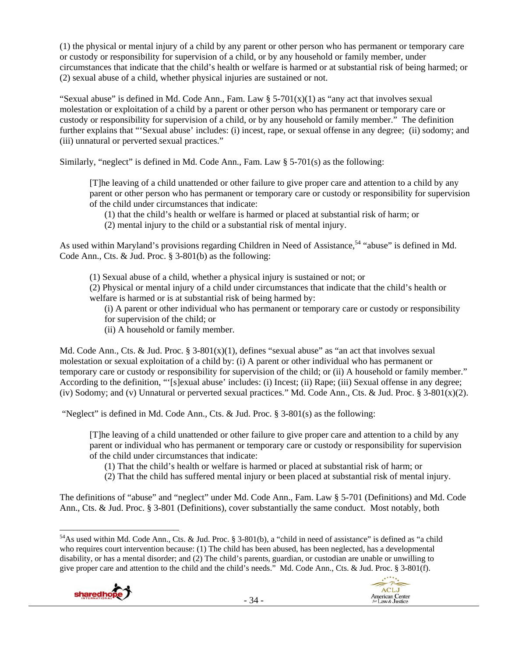(1) the physical or mental injury of a child by any parent or other person who has permanent or temporary care or custody or responsibility for supervision of a child, or by any household or family member, under circumstances that indicate that the child's health or welfare is harmed or at substantial risk of being harmed; or (2) sexual abuse of a child, whether physical injuries are sustained or not.

"Sexual abuse" is defined in Md. Code Ann., Fam. Law  $\S$  5-701(x)(1) as "any act that involves sexual molestation or exploitation of a child by a parent or other person who has permanent or temporary care or custody or responsibility for supervision of a child, or by any household or family member." The definition further explains that "'Sexual abuse' includes: (i) incest, rape, or sexual offense in any degree; (ii) sodomy; and (iii) unnatural or perverted sexual practices."

Similarly, "neglect" is defined in Md. Code Ann., Fam. Law  $\S$  5-701(s) as the following:

[T]he leaving of a child unattended or other failure to give proper care and attention to a child by any parent or other person who has permanent or temporary care or custody or responsibility for supervision of the child under circumstances that indicate:

- (1) that the child's health or welfare is harmed or placed at substantial risk of harm; or
- (2) mental injury to the child or a substantial risk of mental injury.

As used within Maryland's provisions regarding Children in Need of Assistance,<sup>54</sup> "abuse" is defined in Md. Code Ann., Cts. & Jud. Proc. § 3-801(b) as the following:

(1) Sexual abuse of a child, whether a physical injury is sustained or not; or

(2) Physical or mental injury of a child under circumstances that indicate that the child's health or welfare is harmed or is at substantial risk of being harmed by:

(i) A parent or other individual who has permanent or temporary care or custody or responsibility for supervision of the child; or

(ii) A household or family member.

Md. Code Ann., Cts. & Jud. Proc.  $\S 3-801(x)(1)$ , defines "sexual abuse" as "an act that involves sexual molestation or sexual exploitation of a child by: (i) A parent or other individual who has permanent or temporary care or custody or responsibility for supervision of the child; or (ii) A household or family member." According to the definition, "'[s]exual abuse' includes: (i) Incest; (ii) Rape; (iii) Sexual offense in any degree; (iv) Sodomy; and (v) Unnatural or perverted sexual practices." Md. Code Ann., Cts. & Jud. Proc.  $\S$  3-801(x)(2).

"Neglect" is defined in Md. Code Ann., Cts. & Jud. Proc.  $\S$  3-801(s) as the following:

[T]he leaving of a child unattended or other failure to give proper care and attention to a child by any parent or individual who has permanent or temporary care or custody or responsibility for supervision of the child under circumstances that indicate:

(1) That the child's health or welfare is harmed or placed at substantial risk of harm; or

(2) That the child has suffered mental injury or been placed at substantial risk of mental injury.

The definitions of "abuse" and "neglect" under Md. Code Ann., Fam. Law § 5-701 (Definitions) and Md. Code Ann., Cts. & Jud. Proc. § 3-801 (Definitions), cover substantially the same conduct. Most notably, both

<sup>&</sup>lt;sup>54</sup>As used within Md. Code Ann., Cts. & Jud. Proc. § 3-801(b), a "child in need of assistance" is defined as "a child who requires court intervention because: (1) The child has been abused, has been neglected, has a developmental disability, or has a mental disorder; and (2) The child's parents, guardian, or custodian are unable or unwilling to give proper care and attention to the child and the child's needs." Md. Code Ann., Cts. & Jud. Proc. § 3-801(f).



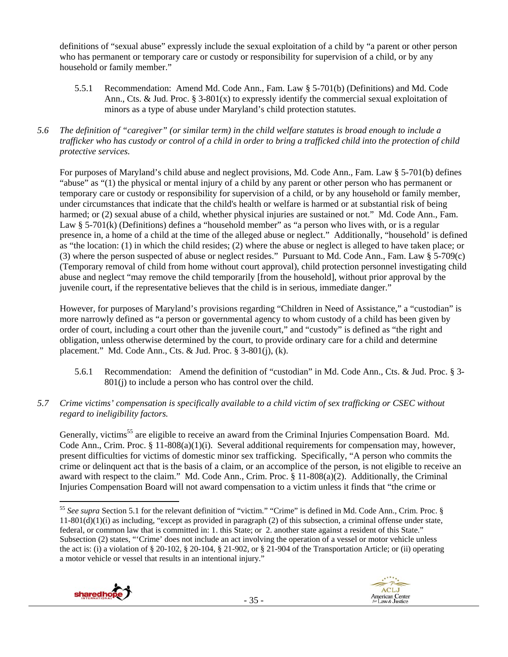definitions of "sexual abuse" expressly include the sexual exploitation of a child by "a parent or other person who has permanent or temporary care or custody or responsibility for supervision of a child, or by any household or family member."

- 5.5.1 Recommendation: Amend Md. Code Ann., Fam. Law § 5-701(b) (Definitions) and Md. Code Ann., Cts. & Jud. Proc.  $\S 3{\text -}801(x)$  to expressly identify the commercial sexual exploitation of minors as a type of abuse under Maryland's child protection statutes.
- *5.6 The definition of "caregiver" (or similar term) in the child welfare statutes is broad enough to include a trafficker who has custody or control of a child in order to bring a trafficked child into the protection of child protective services.*

For purposes of Maryland's child abuse and neglect provisions, Md. Code Ann., Fam. Law § 5-701(b) defines "abuse" as "(1) the physical or mental injury of a child by any parent or other person who has permanent or temporary care or custody or responsibility for supervision of a child, or by any household or family member, under circumstances that indicate that the child's health or welfare is harmed or at substantial risk of being harmed; or (2) sexual abuse of a child, whether physical injuries are sustained or not." Md. Code Ann., Fam. Law § 5-701(k) (Definitions) defines a "household member" as "a person who lives with, or is a regular presence in, a home of a child at the time of the alleged abuse or neglect." Additionally, "household' is defined as "the location: (1) in which the child resides; (2) where the abuse or neglect is alleged to have taken place; or (3) where the person suspected of abuse or neglect resides." Pursuant to Md. Code Ann., Fam. Law § 5-709(c) (Temporary removal of child from home without court approval), child protection personnel investigating child abuse and neglect "may remove the child temporarily [from the household], without prior approval by the juvenile court, if the representative believes that the child is in serious, immediate danger."

However, for purposes of Maryland's provisions regarding "Children in Need of Assistance," a "custodian" is more narrowly defined as "a person or governmental agency to whom custody of a child has been given by order of court, including a court other than the juvenile court," and "custody" is defined as "the right and obligation, unless otherwise determined by the court, to provide ordinary care for a child and determine placement." Md. Code Ann., Cts. & Jud. Proc. § 3-801(j), (k).

- 5.6.1 Recommendation: Amend the definition of "custodian" in Md. Code Ann., Cts. & Jud. Proc. § 3- 801(j) to include a person who has control over the child.
- *5.7 Crime victims' compensation is specifically available to a child victim of sex trafficking or CSEC without regard to ineligibility factors.*

Generally, victims<sup>55</sup> are eligible to receive an award from the Criminal Injuries Compensation Board. Md. Code Ann., Crim. Proc.  $\S 11-808(a)(1)(i)$ . Several additional requirements for compensation may, however, present difficulties for victims of domestic minor sex trafficking. Specifically, "A person who commits the crime or delinquent act that is the basis of a claim, or an accomplice of the person, is not eligible to receive an award with respect to the claim." Md. Code Ann., Crim. Proc. § 11-808(a)(2). Additionally, the Criminal Injuries Compensation Board will not award compensation to a victim unless it finds that "the crime or

- 35 -





 <sup>55</sup> *See supra* Section 5.1 for the relevant definition of "victim." "Crime" is defined in Md. Code Ann., Crim. Proc. § 11-801(d)(1)(i) as including, "except as provided in paragraph (2) of this subsection, a criminal offense under state, federal, or common law that is committed in: 1. this State; or 2. another state against a resident of this State." Subsection (2) states, "'Crime' does not include an act involving the operation of a vessel or motor vehicle unless the act is: (i) a violation of § 20-102, § 20-104, § 21-902, or § 21-904 of the Transportation Article; or (ii) operating a motor vehicle or vessel that results in an intentional injury."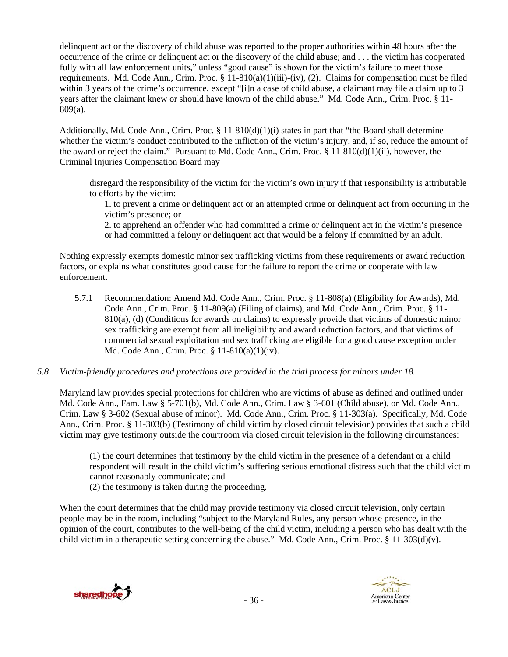delinquent act or the discovery of child abuse was reported to the proper authorities within 48 hours after the occurrence of the crime or delinquent act or the discovery of the child abuse; and . . . the victim has cooperated fully with all law enforcement units," unless "good cause" is shown for the victim's failure to meet those requirements. Md. Code Ann., Crim. Proc.  $\S 11-810(a)(1)(iii)-(iv)$ , (2). Claims for compensation must be filed within 3 years of the crime's occurrence, except "[i]n a case of child abuse, a claimant may file a claim up to 3 years after the claimant knew or should have known of the child abuse." Md. Code Ann., Crim. Proc. § 11- 809(a).

Additionally, Md. Code Ann., Crim. Proc. § 11-810(d)(1)(i) states in part that "the Board shall determine whether the victim's conduct contributed to the infliction of the victim's injury, and, if so, reduce the amount of the award or reject the claim." Pursuant to Md. Code Ann., Crim. Proc. § 11-810(d)(1)(ii), however, the Criminal Injuries Compensation Board may

disregard the responsibility of the victim for the victim's own injury if that responsibility is attributable to efforts by the victim:

1. to prevent a crime or delinquent act or an attempted crime or delinquent act from occurring in the victim's presence; or

2. to apprehend an offender who had committed a crime or delinquent act in the victim's presence or had committed a felony or delinquent act that would be a felony if committed by an adult.

Nothing expressly exempts domestic minor sex trafficking victims from these requirements or award reduction factors, or explains what constitutes good cause for the failure to report the crime or cooperate with law enforcement.

5.7.1 Recommendation: Amend Md. Code Ann., Crim. Proc. § 11-808(a) (Eligibility for Awards), Md. Code Ann., Crim. Proc. § 11-809(a) (Filing of claims), and Md. Code Ann., Crim. Proc. § 11- 810(a), (d) (Conditions for awards on claims) to expressly provide that victims of domestic minor sex trafficking are exempt from all ineligibility and award reduction factors, and that victims of commercial sexual exploitation and sex trafficking are eligible for a good cause exception under Md. Code Ann., Crim. Proc. § 11-810(a)(1)(iv).

# *5.8 Victim-friendly procedures and protections are provided in the trial process for minors under 18.*

Maryland law provides special protections for children who are victims of abuse as defined and outlined under Md. Code Ann., Fam. Law § 5-701(b), Md. Code Ann., Crim. Law § 3-601 (Child abuse), or Md. Code Ann., Crim. Law § 3-602 (Sexual abuse of minor). Md. Code Ann., Crim. Proc. § 11-303(a). Specifically, Md. Code Ann., Crim. Proc. § 11-303(b) (Testimony of child victim by closed circuit television) provides that such a child victim may give testimony outside the courtroom via closed circuit television in the following circumstances:

(1) the court determines that testimony by the child victim in the presence of a defendant or a child respondent will result in the child victim's suffering serious emotional distress such that the child victim cannot reasonably communicate; and

(2) the testimony is taken during the proceeding.

When the court determines that the child may provide testimony via closed circuit television, only certain people may be in the room, including "subject to the Maryland Rules, any person whose presence, in the opinion of the court, contributes to the well-being of the child victim, including a person who has dealt with the child victim in a therapeutic setting concerning the abuse." Md. Code Ann., Crim. Proc. § 11-303(d)(v).

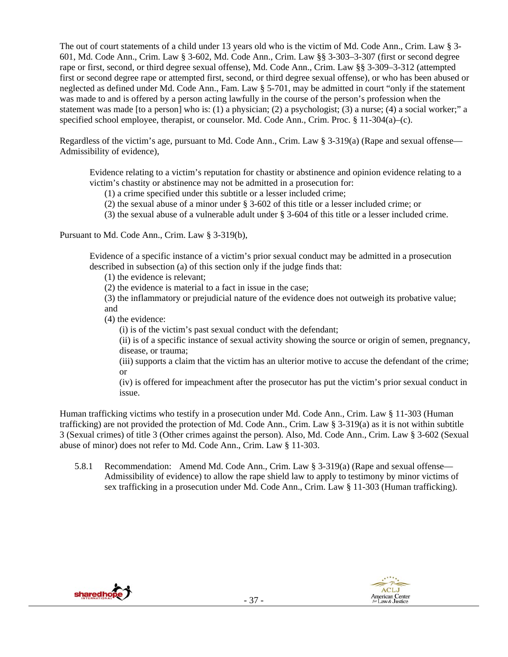The out of court statements of a child under 13 years old who is the victim of Md. Code Ann., Crim. Law § 3- 601, Md. Code Ann., Crim. Law § 3-602, Md. Code Ann., Crim. Law §§ 3-303–3-307 (first or second degree rape or first, second, or third degree sexual offense), Md. Code Ann., Crim. Law §§ 3-309–3-312 (attempted first or second degree rape or attempted first, second, or third degree sexual offense), or who has been abused or neglected as defined under Md. Code Ann., Fam. Law § 5-701, may be admitted in court "only if the statement was made to and is offered by a person acting lawfully in the course of the person's profession when the statement was made [to a person] who is: (1) a physician; (2) a psychologist; (3) a nurse; (4) a social worker;" a specified school employee, therapist, or counselor. Md. Code Ann., Crim. Proc. § 11-304(a)–(c).

Regardless of the victim's age, pursuant to Md. Code Ann., Crim. Law § 3-319(a) (Rape and sexual offense— Admissibility of evidence),

Evidence relating to a victim's reputation for chastity or abstinence and opinion evidence relating to a victim's chastity or abstinence may not be admitted in a prosecution for:

(1) a crime specified under this subtitle or a lesser included crime;

(2) the sexual abuse of a minor under § 3-602 of this title or a lesser included crime; or

(3) the sexual abuse of a vulnerable adult under § 3-604 of this title or a lesser included crime.

Pursuant to Md. Code Ann., Crim. Law § 3-319(b),

Evidence of a specific instance of a victim's prior sexual conduct may be admitted in a prosecution described in subsection (a) of this section only if the judge finds that:

(1) the evidence is relevant;

(2) the evidence is material to a fact in issue in the case;

(3) the inflammatory or prejudicial nature of the evidence does not outweigh its probative value; and

(4) the evidence:

(i) is of the victim's past sexual conduct with the defendant;

(ii) is of a specific instance of sexual activity showing the source or origin of semen, pregnancy, disease, or trauma;

(iii) supports a claim that the victim has an ulterior motive to accuse the defendant of the crime; or

(iv) is offered for impeachment after the prosecutor has put the victim's prior sexual conduct in issue.

Human trafficking victims who testify in a prosecution under Md. Code Ann., Crim. Law § 11-303 (Human trafficking) are not provided the protection of Md. Code Ann., Crim. Law § 3-319(a) as it is not within subtitle 3 (Sexual crimes) of title 3 (Other crimes against the person). Also, Md. Code Ann., Crim. Law § 3-602 (Sexual abuse of minor) does not refer to Md. Code Ann., Crim. Law § 11-303.

5.8.1 Recommendation: Amend Md. Code Ann., Crim. Law § 3-319(a) (Rape and sexual offense— Admissibility of evidence) to allow the rape shield law to apply to testimony by minor victims of sex trafficking in a prosecution under Md. Code Ann., Crim. Law § 11-303 (Human trafficking).



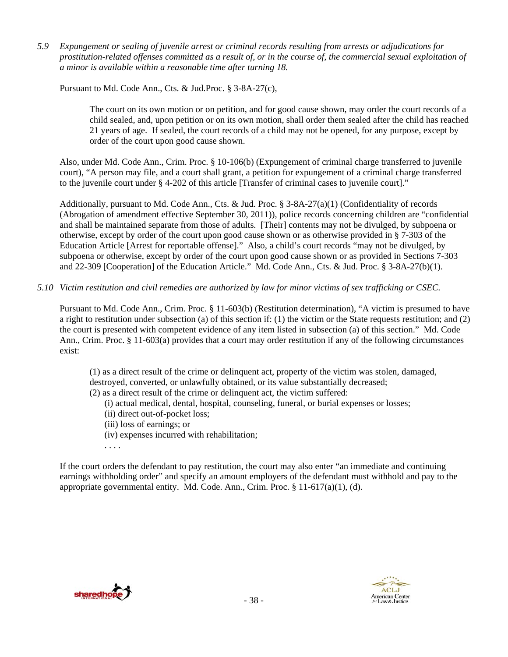*5.9 Expungement or sealing of juvenile arrest or criminal records resulting from arrests or adjudications for prostitution-related offenses committed as a result of, or in the course of, the commercial sexual exploitation of a minor is available within a reasonable time after turning 18.* 

Pursuant to Md. Code Ann., Cts. & Jud.Proc. § 3-8A-27(c),

The court on its own motion or on petition, and for good cause shown, may order the court records of a child sealed, and, upon petition or on its own motion, shall order them sealed after the child has reached 21 years of age. If sealed, the court records of a child may not be opened, for any purpose, except by order of the court upon good cause shown.

Also, under Md. Code Ann., Crim. Proc. § 10-106(b) (Expungement of criminal charge transferred to juvenile court), "A person may file, and a court shall grant, a petition for expungement of a criminal charge transferred to the juvenile court under § 4-202 of this article [Transfer of criminal cases to juvenile court]."

Additionally, pursuant to Md. Code Ann., Cts. & Jud. Proc. § 3-8A-27(a)(1) (Confidentiality of records (Abrogation of amendment effective September 30, 2011)), police records concerning children are "confidential and shall be maintained separate from those of adults. [Their] contents may not be divulged, by subpoena or otherwise, except by order of the court upon good cause shown or as otherwise provided in § 7-303 of the Education Article [Arrest for reportable offense]." Also, a child's court records "may not be divulged, by subpoena or otherwise, except by order of the court upon good cause shown or as provided in Sections 7-303 and 22-309 [Cooperation] of the Education Article." Md. Code Ann., Cts. & Jud. Proc. § 3-8A-27(b)(1).

# *5.10 Victim restitution and civil remedies are authorized by law for minor victims of sex trafficking or CSEC.*

Pursuant to Md. Code Ann., Crim. Proc. § 11-603(b) (Restitution determination), "A victim is presumed to have a right to restitution under subsection (a) of this section if: (1) the victim or the State requests restitution; and (2) the court is presented with competent evidence of any item listed in subsection (a) of this section." Md. Code Ann., Crim. Proc. § 11-603(a) provides that a court may order restitution if any of the following circumstances exist:

(1) as a direct result of the crime or delinquent act, property of the victim was stolen, damaged, destroyed, converted, or unlawfully obtained, or its value substantially decreased;

(2) as a direct result of the crime or delinquent act, the victim suffered:

- (i) actual medical, dental, hospital, counseling, funeral, or burial expenses or losses;
- (ii) direct out-of-pocket loss;
- (iii) loss of earnings; or
- (iv) expenses incurred with rehabilitation;
- . . . .

If the court orders the defendant to pay restitution, the court may also enter "an immediate and continuing earnings withholding order" and specify an amount employers of the defendant must withhold and pay to the appropriate governmental entity. Md. Code. Ann., Crim. Proc. § 11-617(a)(1), (d).



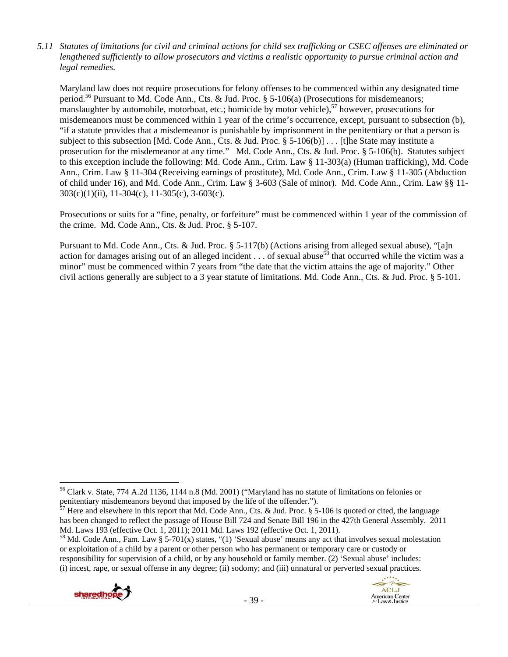*5.11 Statutes of limitations for civil and criminal actions for child sex trafficking or CSEC offenses are eliminated or lengthened sufficiently to allow prosecutors and victims a realistic opportunity to pursue criminal action and legal remedies.* 

Maryland law does not require prosecutions for felony offenses to be commenced within any designated time period.<sup>56</sup> Pursuant to Md. Code Ann., Cts. & Jud. Proc. § 5-106(a) (Prosecutions for misdemeanors; manslaughter by automobile, motorboat, etc.; homicide by motor vehicle), $57$  however, prosecutions for misdemeanors must be commenced within 1 year of the crime's occurrence, except, pursuant to subsection (b), "if a statute provides that a misdemeanor is punishable by imprisonment in the penitentiary or that a person is subject to this subsection [Md. Code Ann., Cts. & Jud. Proc. § 5-106(b)] . . . [t]he State may institute a prosecution for the misdemeanor at any time." Md. Code Ann., Cts. & Jud. Proc. § 5-106(b). Statutes subject to this exception include the following: Md. Code Ann., Crim. Law § 11-303(a) (Human trafficking), Md. Code Ann., Crim. Law § 11-304 (Receiving earnings of prostitute), Md. Code Ann., Crim. Law § 11-305 (Abduction of child under 16), and Md. Code Ann., Crim. Law § 3-603 (Sale of minor). Md. Code Ann., Crim. Law §§ 11- 303(c)(1)(ii), 11-304(c), 11-305(c), 3-603(c).

Prosecutions or suits for a "fine, penalty, or forfeiture" must be commenced within 1 year of the commission of the crime. Md. Code Ann., Cts. & Jud. Proc. § 5-107.

Pursuant to Md. Code Ann., Cts. & Jud. Proc. § 5-117(b) (Actions arising from alleged sexual abuse), "[a]n action for damages arising out of an alleged incident  $\ldots$  of sexual abuse<sup>58</sup> that occurred while the victim was a minor" must be commenced within 7 years from "the date that the victim attains the age of majority." Other civil actions generally are subject to a 3 year statute of limitations. Md. Code Ann., Cts. & Jud. Proc. § 5-101.

<sup>&</sup>lt;sup>58</sup> Md. Code Ann., Fam. Law § 5-701(x) states, "(1) 'Sexual abuse' means any act that involves sexual molestation or exploitation of a child by a parent or other person who has permanent or temporary care or custody or responsibility for supervision of a child, or by any household or family member. (2) 'Sexual abuse' includes: (i) incest, rape, or sexual offense in any degree; (ii) sodomy; and (iii) unnatural or perverted sexual practices.



**ACLJ** 

American Center<br>for Law & Justice

<sup>56</sup> Clark v. State, 774 A.2d 1136, 1144 n.8 (Md. 2001) ("Maryland has no statute of limitations on felonies or penitentiary misdemeanors beyond that imposed by the life of the offender.").

 $\frac{57}{7}$  Here and elsewhere in this report that Md. Code Ann., Cts. & Jud. Proc. § 5-106 is quoted or cited, the language has been changed to reflect the passage of House Bill 724 and Senate Bill 196 in the 427th General Assembly. 2011 Md. Laws 193 (effective Oct. 1, 2011); 2011 Md. Laws 192 (effective Oct. 1, 2011).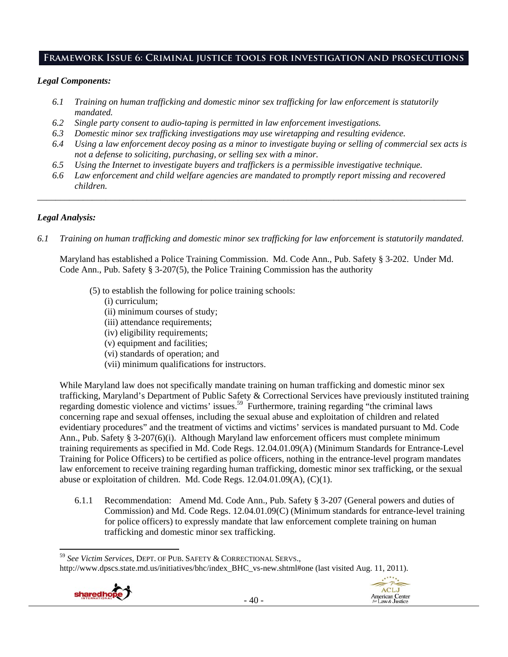# **Framework Issue 6: Criminal justice tools for investigation and prosecutions**

#### *Legal Components:*

- *6.1 Training on human trafficking and domestic minor sex trafficking for law enforcement is statutorily mandated.*
- *6.2 Single party consent to audio-taping is permitted in law enforcement investigations.*
- *6.3 Domestic minor sex trafficking investigations may use wiretapping and resulting evidence.*
- *6.4 Using a law enforcement decoy posing as a minor to investigate buying or selling of commercial sex acts is not a defense to soliciting, purchasing, or selling sex with a minor.*
- *6.5 Using the Internet to investigate buyers and traffickers is a permissible investigative technique.*
- *6.6 Law enforcement and child welfare agencies are mandated to promptly report missing and recovered children.*

*\_\_\_\_\_\_\_\_\_\_\_\_\_\_\_\_\_\_\_\_\_\_\_\_\_\_\_\_\_\_\_\_\_\_\_\_\_\_\_\_\_\_\_\_\_\_\_\_\_\_\_\_\_\_\_\_\_\_\_\_\_\_\_\_\_\_\_\_\_\_\_\_\_\_\_\_\_\_\_\_\_\_\_\_\_\_\_\_\_\_\_\_\_\_* 

#### *Legal Analysis:*

*6.1 Training on human trafficking and domestic minor sex trafficking for law enforcement is statutorily mandated.*

Maryland has established a Police Training Commission. Md. Code Ann., Pub. Safety § 3-202. Under Md. Code Ann., Pub. Safety § 3-207(5), the Police Training Commission has the authority

- (5) to establish the following for police training schools:
	- (i) curriculum;
	- (ii) minimum courses of study;
	- (iii) attendance requirements;
	- (iv) eligibility requirements;
	- (v) equipment and facilities;
	- (vi) standards of operation; and
	- (vii) minimum qualifications for instructors.

While Maryland law does not specifically mandate training on human trafficking and domestic minor sex trafficking, Maryland's Department of Public Safety & Correctional Services have previously instituted training regarding domestic violence and victims' issues.<sup>59</sup> Furthermore, training regarding "the criminal laws concerning rape and sexual offenses, including the sexual abuse and exploitation of children and related evidentiary procedures" and the treatment of victims and victims' services is mandated pursuant to Md. Code Ann., Pub. Safety § 3-207(6)(i). Although Maryland law enforcement officers must complete minimum training requirements as specified in Md. Code Regs. 12.04.01.09(A) (Minimum Standards for Entrance-Level Training for Police Officers) to be certified as police officers, nothing in the entrance-level program mandates law enforcement to receive training regarding human trafficking, domestic minor sex trafficking, or the sexual abuse or exploitation of children. Md. Code Regs. 12.04.01.09(A), (C)(1).

6.1.1 Recommendation: Amend Md. Code Ann., Pub. Safety § 3-207 (General powers and duties of Commission) and Md. Code Regs. 12.04.01.09(C) (Minimum standards for entrance-level training for police officers) to expressly mandate that law enforcement complete training on human trafficking and domestic minor sex trafficking.

 <sup>59</sup> *See Victim Services*, DEPT. OF PUB. SAFETY & CORRECTIONAL SERVS., http://www.dpscs.state.md.us/initiatives/bhc/index\_BHC\_vs-new.shtml#one (last visited Aug. 11, 2011).



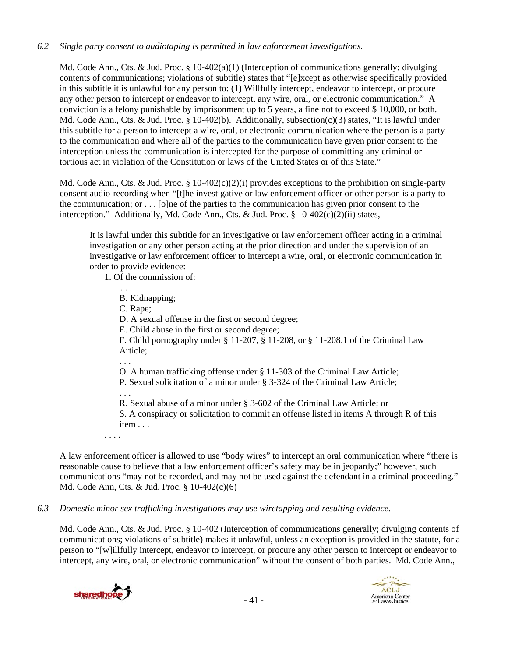### *6.2 Single party consent to audiotaping is permitted in law enforcement investigations.*

Md. Code Ann., Cts. & Jud. Proc. § 10-402(a)(1) (Interception of communications generally; divulging contents of communications; violations of subtitle) states that "[e]xcept as otherwise specifically provided in this subtitle it is unlawful for any person to: (1) Willfully intercept, endeavor to intercept, or procure any other person to intercept or endeavor to intercept, any wire, oral, or electronic communication." A conviction is a felony punishable by imprisonment up to 5 years, a fine not to exceed \$ 10,000, or both. Md. Code Ann., Cts. & Jud. Proc. § 10-402(b). Additionally, subsection(c)(3) states, "It is lawful under this subtitle for a person to intercept a wire, oral, or electronic communication where the person is a party to the communication and where all of the parties to the communication have given prior consent to the interception unless the communication is intercepted for the purpose of committing any criminal or tortious act in violation of the Constitution or laws of the United States or of this State."

Md. Code Ann., Cts. & Jud. Proc. § 10-402(c)(2)(i) provides exceptions to the prohibition on single-party consent audio-recording when "[t]he investigative or law enforcement officer or other person is a party to the communication; or  $\dots$  [o]ne of the parties to the communication has given prior consent to the interception." Additionally, Md. Code Ann., Cts. & Jud. Proc.  $\S$  10-402(c)(2)(ii) states,

It is lawful under this subtitle for an investigative or law enforcement officer acting in a criminal investigation or any other person acting at the prior direction and under the supervision of an investigative or law enforcement officer to intercept a wire, oral, or electronic communication in order to provide evidence:

1. Of the commission of:

 $\mathbf{r}$  . . .

B. Kidnapping;

C. Rape;

D. A sexual offense in the first or second degree;

E. Child abuse in the first or second degree;

F. Child pornography under § 11-207, § 11-208, or § 11-208.1 of the Criminal Law Article;

O. A human trafficking offense under § 11-303 of the Criminal Law Article; P. Sexual solicitation of a minor under § 3-324 of the Criminal Law Article;

. . .

. . .

R. Sexual abuse of a minor under § 3-602 of the Criminal Law Article; or S. A conspiracy or solicitation to commit an offense listed in items A through R of this item . . .

. . . .

A law enforcement officer is allowed to use "body wires" to intercept an oral communication where "there is reasonable cause to believe that a law enforcement officer's safety may be in jeopardy;" however, such communications "may not be recorded, and may not be used against the defendant in a criminal proceeding." Md. Code Ann, Cts. & Jud. Proc. § 10-402(c)(6)

*6.3 Domestic minor sex trafficking investigations may use wiretapping and resulting evidence.* 

Md. Code Ann., Cts. & Jud. Proc. § 10-402 (Interception of communications generally; divulging contents of communications; violations of subtitle) makes it unlawful, unless an exception is provided in the statute, for a person to "[w]illfully intercept, endeavor to intercept, or procure any other person to intercept or endeavor to intercept, any wire, oral, or electronic communication" without the consent of both parties. Md. Code Ann.,



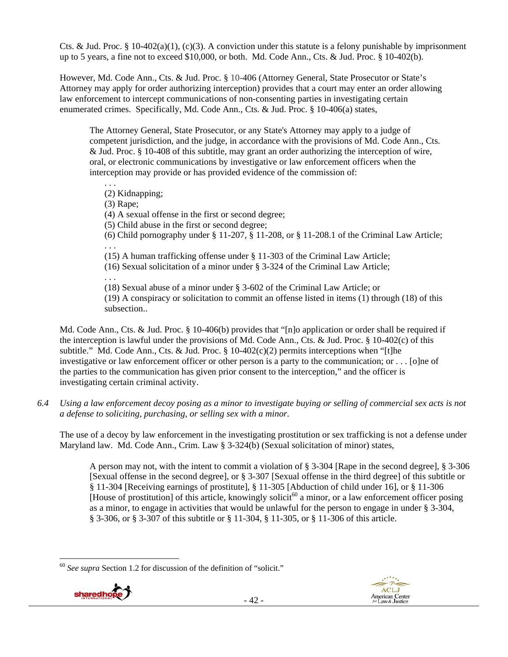Cts. & Jud. Proc. § 10-402(a)(1), (c)(3). A conviction under this statute is a felony punishable by imprisonment up to 5 years, a fine not to exceed \$10,000, or both. Md. Code Ann., Cts. & Jud. Proc. § 10-402(b).

However, Md. Code Ann., Cts. & Jud. Proc. § 10-406 (Attorney General, State Prosecutor or State's Attorney may apply for order authorizing interception) provides that a court may enter an order allowing law enforcement to intercept communications of non-consenting parties in investigating certain enumerated crimes. Specifically, Md. Code Ann., Cts. & Jud. Proc. § 10-406(a) states,

The Attorney General, State Prosecutor, or any State's Attorney may apply to a judge of competent jurisdiction, and the judge, in accordance with the provisions of Md. Code Ann., Cts. & Jud. Proc. § 10-408 of this subtitle, may grant an order authorizing the interception of wire, oral, or electronic communications by investigative or law enforcement officers when the interception may provide or has provided evidence of the commission of:

. . . (2) Kidnapping;

(3) Rape;

(4) A sexual offense in the first or second degree;

(5) Child abuse in the first or second degree;

(6) Child pornography under  $\S 11-207$ ,  $\S 11-208$ , or  $\S 11-208$ . 1 of the Criminal Law Article; . . .

(15) A human trafficking offense under § 11-303 of the Criminal Law Article;

(16) Sexual solicitation of a minor under § 3-324 of the Criminal Law Article;

. . .

(18) Sexual abuse of a minor under § 3-602 of the Criminal Law Article; or

(19) A conspiracy or solicitation to commit an offense listed in items (1) through (18) of this subsection..

Md. Code Ann., Cts. & Jud. Proc. § 10-406(b) provides that "[n]o application or order shall be required if the interception is lawful under the provisions of Md. Code Ann., Cts. & Jud. Proc. § 10-402(c) of this subtitle." Md. Code Ann., Cts. & Jud. Proc.  $\S$  10-402(c)(2) permits interceptions when "[t]he investigative or law enforcement officer or other person is a party to the communication; or . . . [o]ne of the parties to the communication has given prior consent to the interception," and the officer is investigating certain criminal activity.

*6.4 Using a law enforcement decoy posing as a minor to investigate buying or selling of commercial sex acts is not a defense to soliciting, purchasing, or selling sex with a minor.* 

The use of a decoy by law enforcement in the investigating prostitution or sex trafficking is not a defense under Maryland law. Md. Code Ann., Crim. Law § 3-324(b) (Sexual solicitation of minor) states,

A person may not, with the intent to commit a violation of § 3-304 [Rape in the second degree], § 3-306 [Sexual offense in the second degree], or § 3-307 [Sexual offense in the third degree] of this subtitle or § 11-304 [Receiving earnings of prostitute], § 11-305 [Abduction of child under 16], or § 11-306 [House of prostitution] of this article, knowingly solicit<sup>60</sup> a minor, or a law enforcement officer posing as a minor, to engage in activities that would be unlawful for the person to engage in under § 3-304, § 3-306, or § 3-307 of this subtitle or § 11-304, § 11-305, or § 11-306 of this article.

 <sup>60</sup> *See supra* Section 1.2 for discussion of the definition of "solicit."

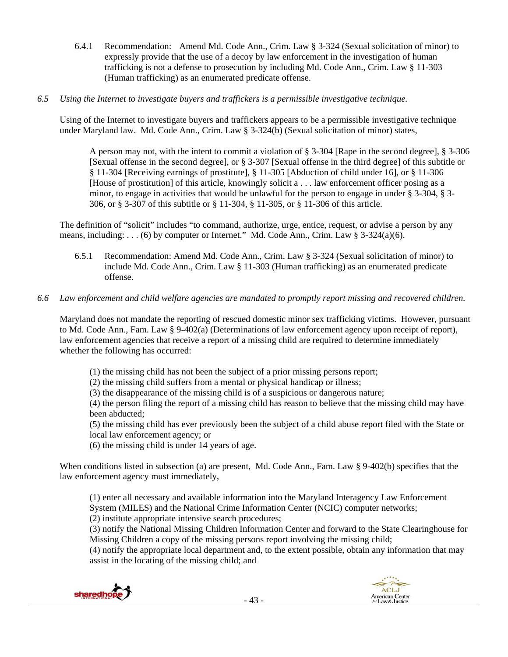6.4.1 Recommendation: Amend Md. Code Ann., Crim. Law § 3-324 (Sexual solicitation of minor) to expressly provide that the use of a decoy by law enforcement in the investigation of human trafficking is not a defense to prosecution by including Md. Code Ann., Crim. Law § 11-303 (Human trafficking) as an enumerated predicate offense.

# *6.5 Using the Internet to investigate buyers and traffickers is a permissible investigative technique.*

Using of the Internet to investigate buyers and traffickers appears to be a permissible investigative technique under Maryland law. Md. Code Ann., Crim. Law § 3-324(b) (Sexual solicitation of minor) states,

A person may not, with the intent to commit a violation of § 3-304 [Rape in the second degree], § 3-306 [Sexual offense in the second degree], or § 3-307 [Sexual offense in the third degree] of this subtitle or § 11-304 [Receiving earnings of prostitute], § 11-305 [Abduction of child under 16], or § 11-306 [House of prostitution] of this article, knowingly solicit a . . . law enforcement officer posing as a minor, to engage in activities that would be unlawful for the person to engage in under § 3-304, § 3- 306, or § 3-307 of this subtitle or § 11-304, § 11-305, or § 11-306 of this article.

The definition of "solicit" includes "to command, authorize, urge, entice, request, or advise a person by any means, including:  $\dots$  (6) by computer or Internet." Md. Code Ann., Crim. Law § 3-324(a)(6).

6.5.1 Recommendation: Amend Md. Code Ann., Crim. Law § 3-324 (Sexual solicitation of minor) to include Md. Code Ann., Crim. Law § 11-303 (Human trafficking) as an enumerated predicate offense.

# *6.6 Law enforcement and child welfare agencies are mandated to promptly report missing and recovered children.*

Maryland does not mandate the reporting of rescued domestic minor sex trafficking victims. However, pursuant to Md. Code Ann., Fam. Law § 9-402(a) (Determinations of law enforcement agency upon receipt of report), law enforcement agencies that receive a report of a missing child are required to determine immediately whether the following has occurred:

(1) the missing child has not been the subject of a prior missing persons report;

(2) the missing child suffers from a mental or physical handicap or illness;

(3) the disappearance of the missing child is of a suspicious or dangerous nature;

(4) the person filing the report of a missing child has reason to believe that the missing child may have been abducted;

(5) the missing child has ever previously been the subject of a child abuse report filed with the State or local law enforcement agency; or

(6) the missing child is under 14 years of age.

When conditions listed in subsection (a) are present, Md. Code Ann., Fam. Law § 9-402(b) specifies that the law enforcement agency must immediately,

(1) enter all necessary and available information into the Maryland Interagency Law Enforcement System (MILES) and the National Crime Information Center (NCIC) computer networks; (2) institute appropriate intensive search procedures;

(3) notify the National Missing Children Information Center and forward to the State Clearinghouse for Missing Children a copy of the missing persons report involving the missing child;

(4) notify the appropriate local department and, to the extent possible, obtain any information that may assist in the locating of the missing child; and